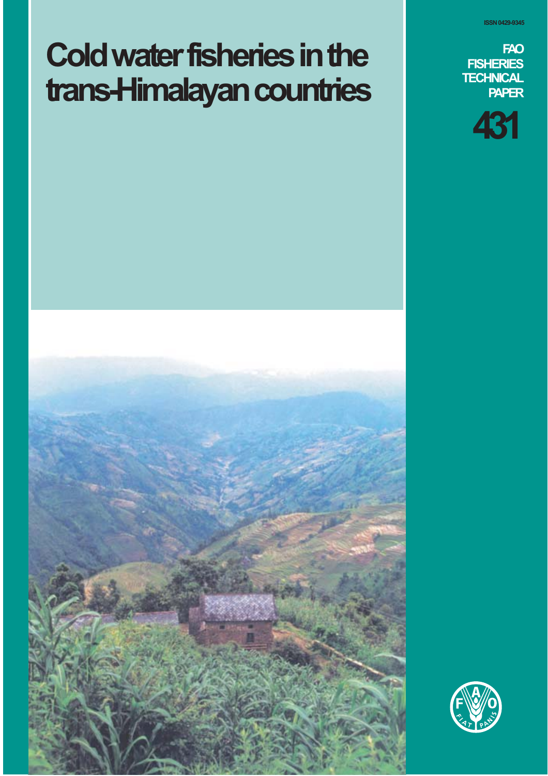**ISSN 0429-9345**

# **Cold water fisheries in the trans-Himalayan countries**

**FAO FISHERIES TECHNICAL PAPER**

**431**



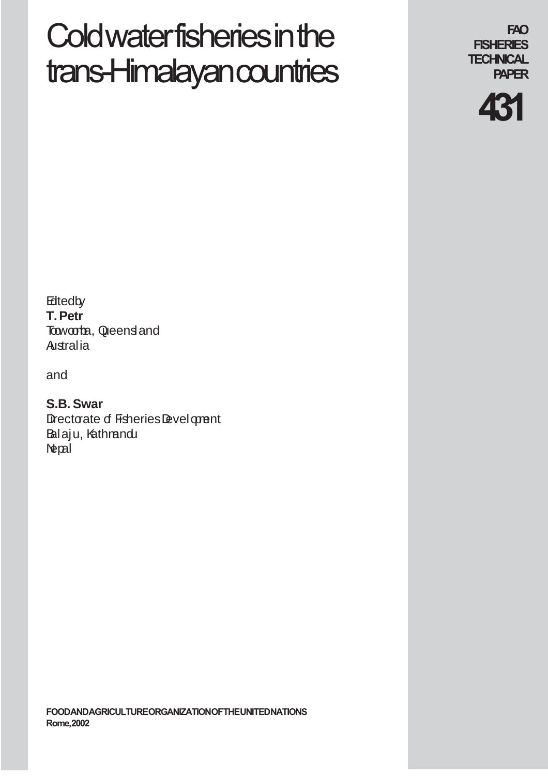# Cold water fisheries in the trans-Himalayan countries

**FAO FISHERIES TECHNICAL PAPER**



**Edtedby T. Petr** Toowoorba, Queensland **A**ustralia

and

**S.B. Swar** Directorate of Fisheries Development Balaju, Kathmandu **Nepal** 

**FOOD AND AGRICULTURE ORGANIZATION OF THE UNITED NATIONS Rome, 2002**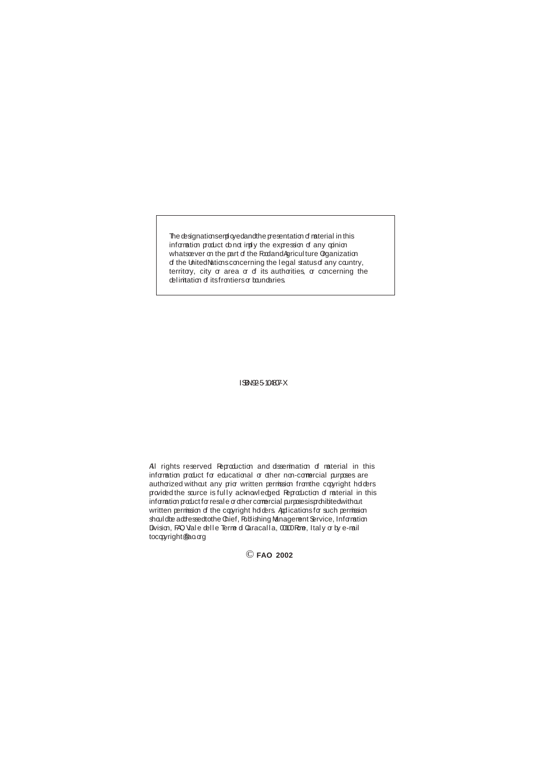The designations employed and the presentation of material in this information product do not imply the expression of any opinion whatscever on the part of the Food and Agriculture Organization of the United Nations concerning the legal status of any country, territory, city or area or of its authorities, or concerning the delimitation of its frontiers or boundaries.

ISBN 92-5-104807-X

All rights reserved Reproduction and dssemination of material in this information product for educational or other non-commercial purposes are authorized without any prior written permission from the copyright holders provided the saurce is fully acknowledged. Reproduction of material in this  $inf$ ormation product for resale or other commercial purposes is prohibited without written permission of the copyright holders. Applications for such permission should be addressed to the Chief, Publishing Management Service, Information Dvision, FAQ Vale delle Terme di Caracalla, 00100 Rome, Italy or by e-mail to capyright@ao.org

© **FAO 2002**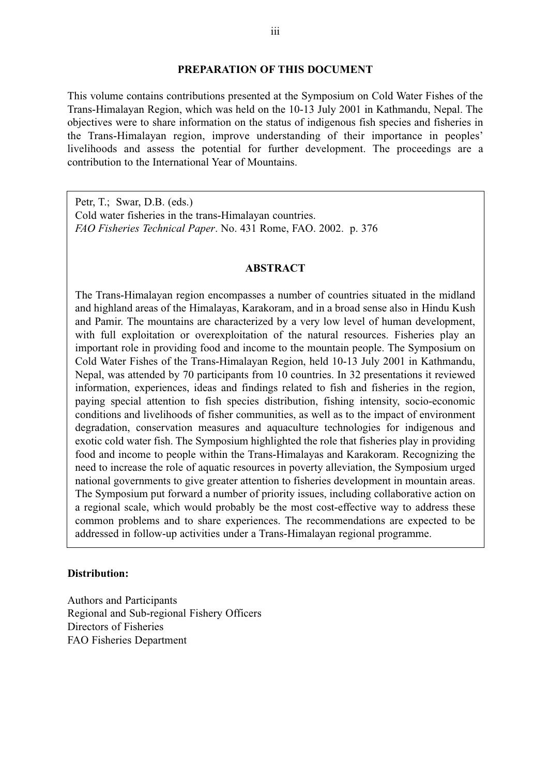#### **PREPARATION OF THIS DOCUMENT**

This volume contains contributions presented at the Symposium on Cold Water Fishes of the Trans-Himalayan Region, which was held on the 10-13 July 2001 in Kathmandu, Nepal. The objectives were to share information on the status of indigenous fish species and fisheries in the Trans-Himalayan region, improve understanding of their importance in peoples' livelihoods and assess the potential for further development. The proceedings are a contribution to the International Year of Mountains.

Petr, T.; Swar, D.B. (eds.) Cold water fisheries in the trans-Himalayan countries. *FAO Fisheries Technical Paper*. No. 431 Rome, FAO. 2002. p. 376

#### **ABSTRACT**

The Trans-Himalayan region encompasses a number of countries situated in the midland and highland areas of the Himalayas, Karakoram, and in a broad sense also in Hindu Kush and Pamir. The mountains are characterized by a very low level of human development, with full exploitation or overexploitation of the natural resources. Fisheries play an important role in providing food and income to the mountain people. The Symposium on Cold Water Fishes of the Trans-Himalayan Region, held 10-13 July 2001 in Kathmandu, Nepal, was attended by 70 participants from 10 countries. In 32 presentations it reviewed information, experiences, ideas and findings related to fish and fisheries in the region, paying special attention to fish species distribution, fishing intensity, socio-economic conditions and livelihoods of fisher communities, as well as to the impact of environment degradation, conservation measures and aquaculture technologies for indigenous and exotic cold water fish. The Symposium highlighted the role that fisheries play in providing food and income to people within the Trans-Himalayas and Karakoram. Recognizing the need to increase the role of aquatic resources in poverty alleviation, the Symposium urged national governments to give greater attention to fisheries development in mountain areas. The Symposium put forward a number of priority issues, including collaborative action on a regional scale, which would probably be the most cost-effective way to address these common problems and to share experiences. The recommendations are expected to be addressed in follow-up activities under a Trans-Himalayan regional programme.

#### **Distribution:**

Authors and Participants Regional and Sub-regional Fishery Officers Directors of Fisheries FAO Fisheries Department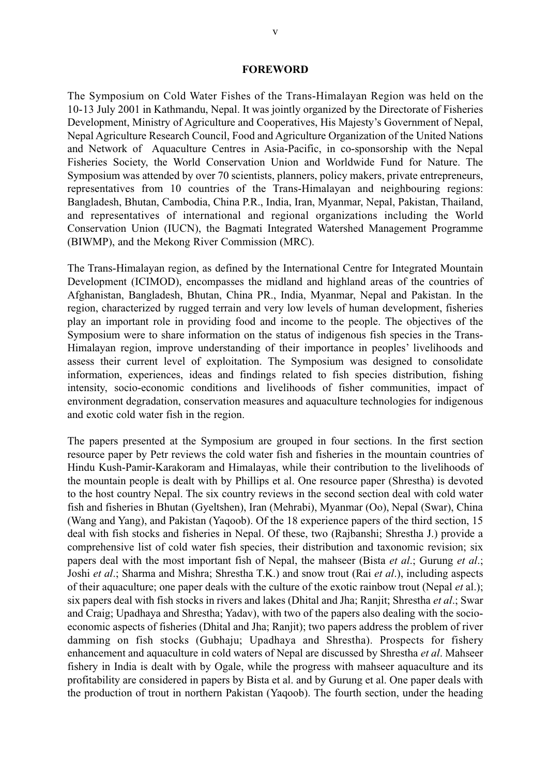#### **FOREWORD**

The Symposium on Cold Water Fishes of the Trans-Himalayan Region was held on the 10-13 July 2001 in Kathmandu, Nepal. It was jointly organized by the Directorate of Fisheries Development, Ministry of Agriculture and Cooperatives, His Majesty's Government of Nepal, Nepal Agriculture Research Council, Food and Agriculture Organization of the United Nations and Network of Aquaculture Centres in Asia-Pacific, in co-sponsorship with the Nepal Fisheries Society, the World Conservation Union and Worldwide Fund for Nature. The Symposium was attended by over 70 scientists, planners, policy makers, private entrepreneurs, representatives from 10 countries of the Trans-Himalayan and neighbouring regions: Bangladesh, Bhutan, Cambodia, China P.R., India, Iran, Myanmar, Nepal, Pakistan, Thailand, and representatives of international and regional organizations including the World Conservation Union (IUCN), the Bagmati Integrated Watershed Management Programme (BIWMP), and the Mekong River Commission (MRC).

The Trans-Himalayan region, as defined by the International Centre for Integrated Mountain Development (ICIMOD), encompasses the midland and highland areas of the countries of Afghanistan, Bangladesh, Bhutan, China PR., India, Myanmar, Nepal and Pakistan. In the region, characterized by rugged terrain and very low levels of human development, fisheries play an important role in providing food and income to the people. The objectives of the Symposium were to share information on the status of indigenous fish species in the Trans-Himalayan region, improve understanding of their importance in peoples' livelihoods and assess their current level of exploitation. The Symposium was designed to consolidate information, experiences, ideas and findings related to fish species distribution, fishing intensity, socio-economic conditions and livelihoods of fisher communities, impact of environment degradation, conservation measures and aquaculture technologies for indigenous and exotic cold water fish in the region.

The papers presented at the Symposium are grouped in four sections. In the first section resource paper by Petr reviews the cold water fish and fisheries in the mountain countries of Hindu Kush-Pamir-Karakoram and Himalayas, while their contribution to the livelihoods of the mountain people is dealt with by Phillips et al. One resource paper (Shrestha) is devoted to the host country Nepal. The six country reviews in the second section deal with cold water fish and fisheries in Bhutan (Gyeltshen), Iran (Mehrabi), Myanmar (Oo), Nepal (Swar), China (Wang and Yang), and Pakistan (Yaqoob). Of the 18 experience papers of the third section, 15 deal with fish stocks and fisheries in Nepal. Of these, two (Rajbanshi; Shrestha J.) provide a comprehensive list of cold water fish species, their distribution and taxonomic revision; six papers deal with the most important fish of Nepal, the mahseer (Bista *et al*.; Gurung *et al*.; Joshi *et al*.; Sharma and Mishra; Shrestha T.K.) and snow trout (Rai *et al*.), including aspects of their aquaculture; one paper deals with the culture of the exotic rainbow trout (Nepal *et* al.); six papers deal with fish stocks in rivers and lakes (Dhital and Jha; Ranjit; Shrestha *et al*.; Swar and Craig; Upadhaya and Shrestha; Yadav), with two of the papers also dealing with the socioeconomic aspects of fisheries (Dhital and Jha; Ranjit); two papers address the problem of river damming on fish stocks (Gubhaju; Upadhaya and Shrestha). Prospects for fishery enhancement and aquaculture in cold waters of Nepal are discussed by Shrestha *et al*. Mahseer fishery in India is dealt with by Ogale, while the progress with mahseer aquaculture and its profitability are considered in papers by Bista et al. and by Gurung et al. One paper deals with the production of trout in northern Pakistan (Yaqoob). The fourth section, under the heading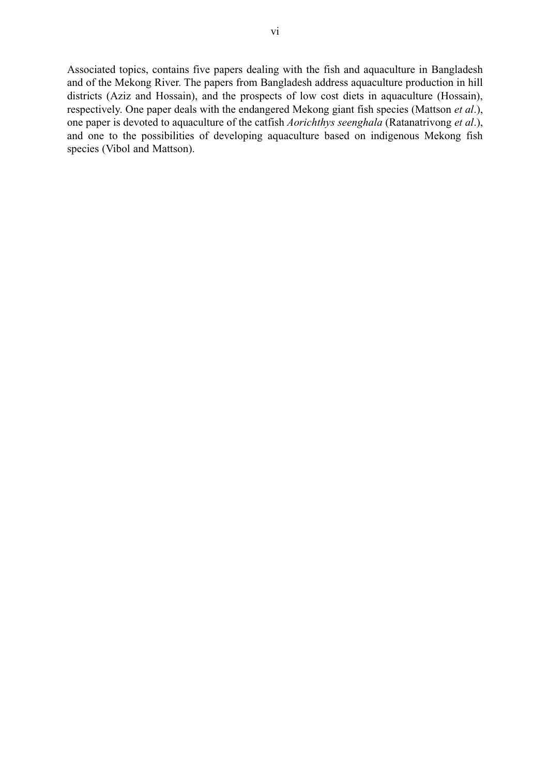Associated topics, contains five papers dealing with the fish and aquaculture in Bangladesh and of the Mekong River. The papers from Bangladesh address aquaculture production in hill districts (Aziz and Hossain), and the prospects of low cost diets in aquaculture (Hossain), respectively. One paper deals with the endangered Mekong giant fish species (Mattson *et al*.), one paper is devoted to aquaculture of the catfish *Aorichthys seenghala* (Ratanatrivong *et al*.), and one to the possibilities of developing aquaculture based on indigenous Mekong fish species (Vibol and Mattson).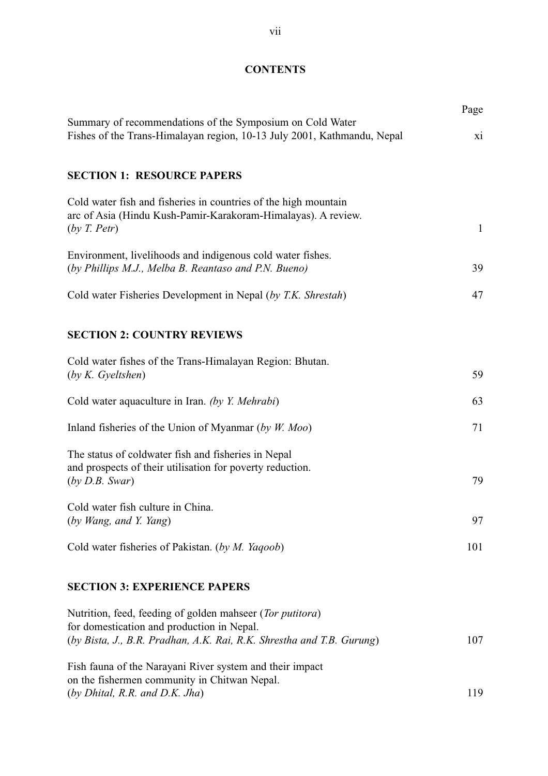# **CONTENTS**

Page

| Summary of recommendations of the Symposium on Cold Water<br>Fishes of the Trans-Himalayan region, 10-13 July 2001, Kathmandu, Nepal                                                      | xi           |
|-------------------------------------------------------------------------------------------------------------------------------------------------------------------------------------------|--------------|
| <b>SECTION 1: RESOURCE PAPERS</b>                                                                                                                                                         |              |
| Cold water fish and fisheries in countries of the high mountain<br>arc of Asia (Hindu Kush-Pamir-Karakoram-Himalayas). A review.<br>(by T. Petr)                                          | $\mathbf{1}$ |
| Environment, livelihoods and indigenous cold water fishes.<br>(by Phillips M.J., Melba B. Reantaso and P.N. Bueno)                                                                        | 39           |
| Cold water Fisheries Development in Nepal (by T.K. Shrestah)                                                                                                                              | 47           |
| <b>SECTION 2: COUNTRY REVIEWS</b>                                                                                                                                                         |              |
| Cold water fishes of the Trans-Himalayan Region: Bhutan.<br>(by K. Gyeltshen)                                                                                                             | 59           |
| Cold water aquaculture in Iran. (by Y. Mehrabi)                                                                                                                                           | 63           |
| Inland fisheries of the Union of Myanmar (by $W.$ Moo)                                                                                                                                    | 71           |
| The status of coldwater fish and fisheries in Nepal<br>and prospects of their utilisation for poverty reduction.<br>(by D.B. Swar)                                                        | 79           |
| Cold water fish culture in China.<br>(by Wang, and Y. Yang)                                                                                                                               | 97           |
| Cold water fisheries of Pakistan. (by M. Yaqoob)                                                                                                                                          | 101          |
| <b>SECTION 3: EXPERIENCE PAPERS</b>                                                                                                                                                       |              |
| Nutrition, feed, feeding of golden mahseer ( <i>Tor putitora</i> )<br>for domestication and production in Nepal.<br>(by Bista, J., B.R. Pradhan, A.K. Rai, R.K. Shrestha and T.B. Gurung) | 107          |
| Fish fauna of the Narayani River system and their impact<br>on the fishermen community in Chitwan Nepal.<br>(by Dhital, R.R. and D.K. Jha)                                                | 119          |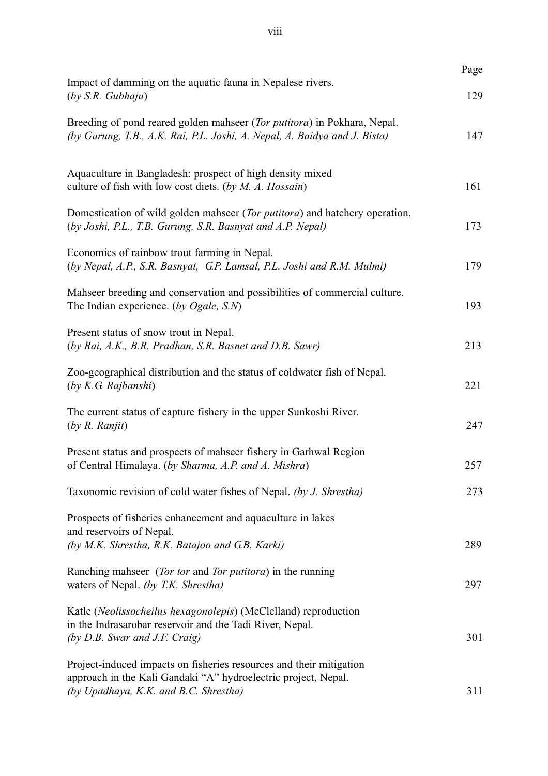|                                                                                                                                                                       | Page |
|-----------------------------------------------------------------------------------------------------------------------------------------------------------------------|------|
| Impact of damming on the aquatic fauna in Nepalese rivers.<br>(by S.R. Gubhaju)                                                                                       | 129  |
| Breeding of pond reared golden mahseer (Tor putitora) in Pokhara, Nepal.<br>(by Gurung, T.B., A.K. Rai, P.L. Joshi, A. Nepal, A. Baidya and J. Bista)                 | 147  |
| Aquaculture in Bangladesh: prospect of high density mixed<br>culture of fish with low cost diets. (by $M. A. Hossain$ )                                               | 161  |
| Domestication of wild golden mahseer (Tor putitora) and hatchery operation.<br>(by Joshi, P.L., T.B. Gurung, S.R. Basnyat and A.P. Nepal)                             | 173  |
| Economics of rainbow trout farming in Nepal.<br>(by Nepal, A.P., S.R. Basnyat, G.P. Lamsal, P.L. Joshi and R.M. Mulmi)                                                | 179  |
| Mahseer breeding and conservation and possibilities of commercial culture.<br>The Indian experience. (by Ogale, S.N)                                                  | 193  |
| Present status of snow trout in Nepal.<br>(by Rai, A.K., B.R. Pradhan, S.R. Basnet and D.B. Sawr)                                                                     | 213  |
| Zoo-geographical distribution and the status of coldwater fish of Nepal.<br>(by K.G. Rajbanshi)                                                                       | 221  |
| The current status of capture fishery in the upper Sunkoshi River.<br>(by R. Ranjit)                                                                                  | 247  |
| Present status and prospects of mahseer fishery in Garhwal Region<br>of Central Himalaya. (by Sharma, A.P. and A. Mishra)                                             | 257  |
| Taxonomic revision of cold water fishes of Nepal. (by J. Shrestha)                                                                                                    | 273  |
| Prospects of fisheries enhancement and aquaculture in lakes<br>and reservoirs of Nepal.                                                                               |      |
| (by M.K. Shrestha, R.K. Batajoo and G.B. Karki)                                                                                                                       | 289  |
| Ranching mahseer (Tor tor and Tor putitora) in the running<br>waters of Nepal. (by T.K. Shrestha)                                                                     | 297  |
| Katle ( <i>Neolissocheilus hexagonolepis</i> ) (McClelland) reproduction<br>in the Indrasarobar reservoir and the Tadi River, Nepal.<br>(by D.B. Swar and J.F. Craig) | 301  |
| Project-induced impacts on fisheries resources and their mitigation<br>approach in the Kali Gandaki "A" hydroelectric project, Nepal.                                 |      |
| (by Upadhaya, K.K. and B.C. Shrestha)                                                                                                                                 | 311  |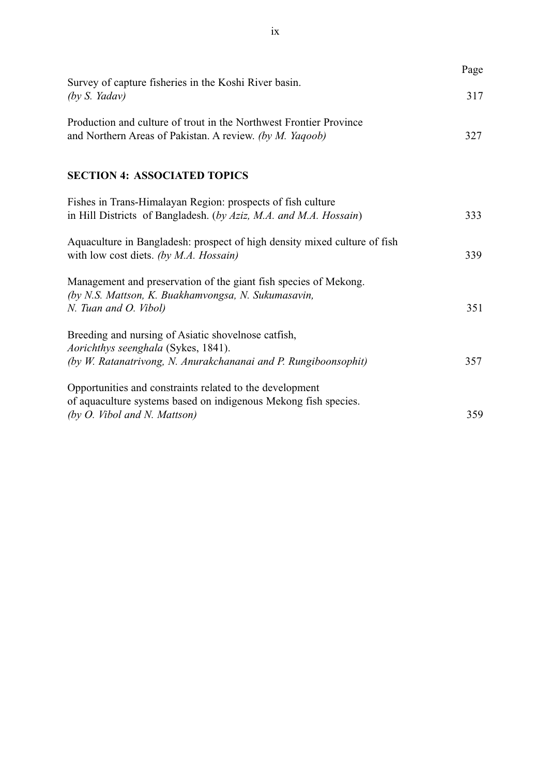|                                                                                                                                                               | Page |
|---------------------------------------------------------------------------------------------------------------------------------------------------------------|------|
| Survey of capture fisheries in the Koshi River basin.<br>(by $S.$ Yadav)                                                                                      | 317  |
| Production and culture of trout in the Northwest Frontier Province<br>and Northern Areas of Pakistan. A review. (by M. Yaqoob)                                | 327  |
| <b>SECTION 4: ASSOCIATED TOPICS</b>                                                                                                                           |      |
| Fishes in Trans-Himalayan Region: prospects of fish culture<br>in Hill Districts of Bangladesh. (by Aziz, M.A. and M.A. Hossain)                              | 333  |
| Aquaculture in Bangladesh: prospect of high density mixed culture of fish<br>with low cost diets. (by M.A. Hossain)                                           | 339  |
| Management and preservation of the giant fish species of Mekong.<br>(by N.S. Mattson, K. Buakhamvongsa, N. Sukumasavin,<br>N. Tuan and O. Vibol)              | 351  |
| Breeding and nursing of Asiatic shovelnose catfish,<br>Aorichthys seenghala (Sykes, 1841).<br>(by W. Ratanatrivong, N. Anurakchananai and P. Rungiboonsophit) | 357  |
| Opportunities and constraints related to the development<br>of aquaculture systems based on indigenous Mekong fish species.<br>(by O. Vibol and N. Mattson)   | 359  |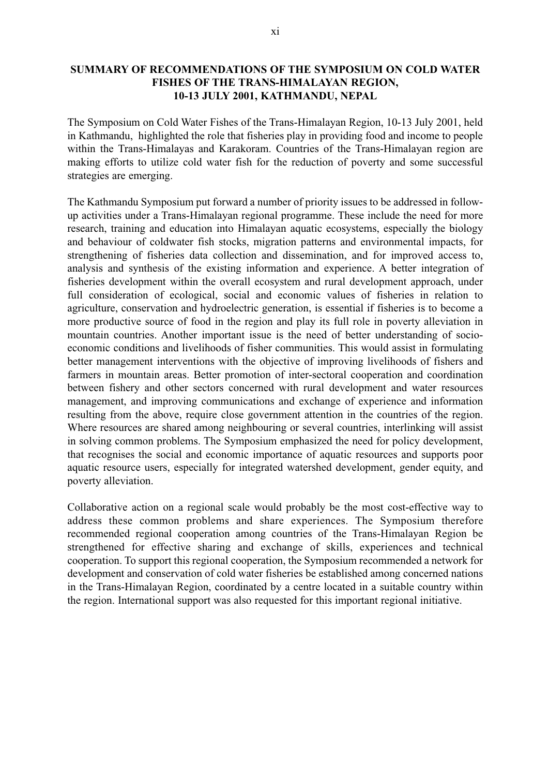## **SUMMARY OF RECOMMENDATIONS OF THE SYMPOSIUM ON COLD WATER FISHES OF THE TRANS-HIMALAYAN REGION, 10-13 JULY 2001, KATHMANDU, NEPAL**

The Symposium on Cold Water Fishes of the Trans-Himalayan Region, 10-13 July 2001, held in Kathmandu, highlighted the role that fisheries play in providing food and income to people within the Trans-Himalayas and Karakoram. Countries of the Trans-Himalayan region are making efforts to utilize cold water fish for the reduction of poverty and some successful strategies are emerging.

The Kathmandu Symposium put forward a number of priority issues to be addressed in followup activities under a Trans-Himalayan regional programme. These include the need for more research, training and education into Himalayan aquatic ecosystems, especially the biology and behaviour of coldwater fish stocks, migration patterns and environmental impacts, for strengthening of fisheries data collection and dissemination, and for improved access to, analysis and synthesis of the existing information and experience. A better integration of fisheries development within the overall ecosystem and rural development approach, under full consideration of ecological, social and economic values of fisheries in relation to agriculture, conservation and hydroelectric generation, is essential if fisheries is to become a more productive source of food in the region and play its full role in poverty alleviation in mountain countries. Another important issue is the need of better understanding of socioeconomic conditions and livelihoods of fisher communities. This would assist in formulating better management interventions with the objective of improving livelihoods of fishers and farmers in mountain areas. Better promotion of inter-sectoral cooperation and coordination between fishery and other sectors concerned with rural development and water resources management, and improving communications and exchange of experience and information resulting from the above, require close government attention in the countries of the region. Where resources are shared among neighbouring or several countries, interlinking will assist in solving common problems. The Symposium emphasized the need for policy development, that recognises the social and economic importance of aquatic resources and supports poor aquatic resource users, especially for integrated watershed development, gender equity, and poverty alleviation.

Collaborative action on a regional scale would probably be the most cost-effective way to address these common problems and share experiences. The Symposium therefore recommended regional cooperation among countries of the Trans-Himalayan Region be strengthened for effective sharing and exchange of skills, experiences and technical cooperation. To support this regional cooperation, the Symposium recommended a network for development and conservation of cold water fisheries be established among concerned nations in the Trans-Himalayan Region, coordinated by a centre located in a suitable country within the region. International support was also requested for this important regional initiative.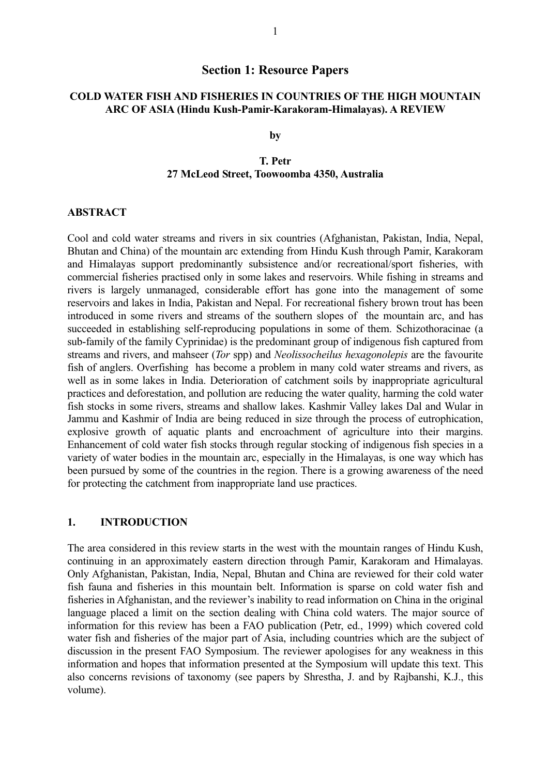#### **Section 1: Resource Papers**

#### **COLD WATER FISH AND FISHERIES IN COUNTRIES OF THE HIGH MOUNTAIN ARC OF ASIA (Hindu Kush-Pamir-Karakoram-Himalayas). A REVIEW**

#### **by**

#### **T. Petr 27 McLeod Street, Toowoomba 4350, Australia**

#### **ABSTRACT**

Cool and cold water streams and rivers in six countries (Afghanistan, Pakistan, India, Nepal, Bhutan and China) of the mountain arc extending from Hindu Kush through Pamir, Karakoram and Himalayas support predominantly subsistence and/or recreational/sport fisheries, with commercial fisheries practised only in some lakes and reservoirs. While fishing in streams and rivers is largely unmanaged, considerable effort has gone into the management of some reservoirs and lakes in India, Pakistan and Nepal. For recreational fishery brown trout has been introduced in some rivers and streams of the southern slopes of the mountain arc, and has succeeded in establishing self-reproducing populations in some of them. Schizothoracinae (a sub-family of the family Cyprinidae) is the predominant group of indigenous fish captured from streams and rivers, and mahseer (*Tor* spp) and *Neolissocheilus hexagonolepis* are the favourite fish of anglers. Overfishing has become a problem in many cold water streams and rivers, as well as in some lakes in India. Deterioration of catchment soils by inappropriate agricultural practices and deforestation, and pollution are reducing the water quality, harming the cold water fish stocks in some rivers, streams and shallow lakes. Kashmir Valley lakes Dal and Wular in Jammu and Kashmir of India are being reduced in size through the process of eutrophication, explosive growth of aquatic plants and encroachment of agriculture into their margins. Enhancement of cold water fish stocks through regular stocking of indigenous fish species in a variety of water bodies in the mountain arc, especially in the Himalayas, is one way which has been pursued by some of the countries in the region. There is a growing awareness of the need for protecting the catchment from inappropriate land use practices.

#### **1. INTRODUCTION**

The area considered in this review starts in the west with the mountain ranges of Hindu Kush, continuing in an approximately eastern direction through Pamir, Karakoram and Himalayas. Only Afghanistan, Pakistan, India, Nepal, Bhutan and China are reviewed for their cold water fish fauna and fisheries in this mountain belt. Information is sparse on cold water fish and fisheries in Afghanistan, and the reviewer's inability to read information on China in the original language placed a limit on the section dealing with China cold waters. The major source of information for this review has been a FAO publication (Petr, ed., 1999) which covered cold water fish and fisheries of the major part of Asia, including countries which are the subject of discussion in the present FAO Symposium. The reviewer apologises for any weakness in this information and hopes that information presented at the Symposium will update this text. This also concerns revisions of taxonomy (see papers by Shrestha, J. and by Rajbanshi, K.J., this volume).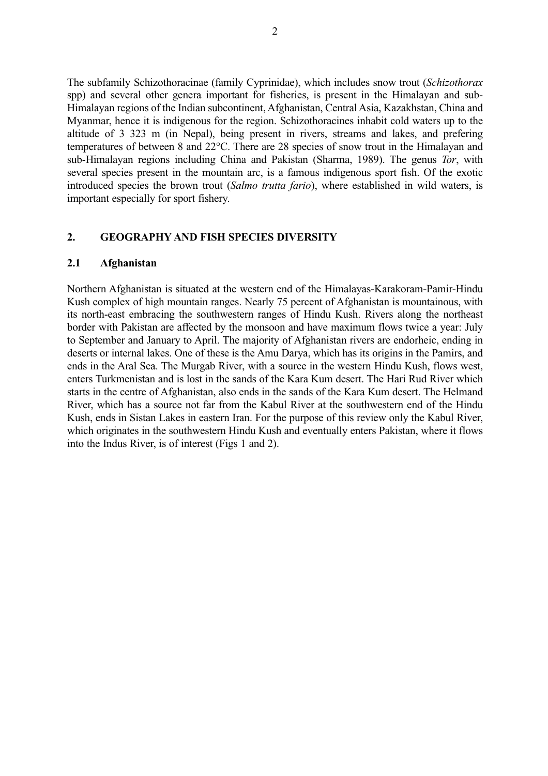The subfamily Schizothoracinae (family Cyprinidae), which includes snow trout (*Schizothorax* spp) and several other genera important for fisheries, is present in the Himalayan and sub-Himalayan regions of the Indian subcontinent, Afghanistan, Central Asia, Kazakhstan, China and Myanmar, hence it is indigenous for the region. Schizothoracines inhabit cold waters up to the altitude of 3 323 m (in Nepal), being present in rivers, streams and lakes, and prefering temperatures of between 8 and 22°C. There are 28 species of snow trout in the Himalayan and sub-Himalayan regions including China and Pakistan (Sharma, 1989). The genus *Tor*, with several species present in the mountain arc, is a famous indigenous sport fish. Of the exotic introduced species the brown trout (*Salmo trutta fario*), where established in wild waters, is important especially for sport fishery.

#### **2. GEOGRAPHY AND FISH SPECIES DIVERSITY**

#### **2.1 Afghanistan**

Northern Afghanistan is situated at the western end of the Himalayas-Karakoram-Pamir-Hindu Kush complex of high mountain ranges. Nearly 75 percent of Afghanistan is mountainous, with its north-east embracing the southwestern ranges of Hindu Kush. Rivers along the northeast border with Pakistan are affected by the monsoon and have maximum flows twice a year: July to September and January to April. The majority of Afghanistan rivers are endorheic, ending in deserts or internal lakes. One of these is the Amu Darya, which has its origins in the Pamirs, and ends in the Aral Sea. The Murgab River, with a source in the western Hindu Kush, flows west, enters Turkmenistan and is lost in the sands of the Kara Kum desert. The Hari Rud River which starts in the centre of Afghanistan, also ends in the sands of the Kara Kum desert. The Helmand River, which has a source not far from the Kabul River at the southwestern end of the Hindu Kush, ends in Sistan Lakes in eastern Iran. For the purpose of this review only the Kabul River, which originates in the southwestern Hindu Kush and eventually enters Pakistan, where it flows into the Indus River, is of interest (Figs 1 and 2).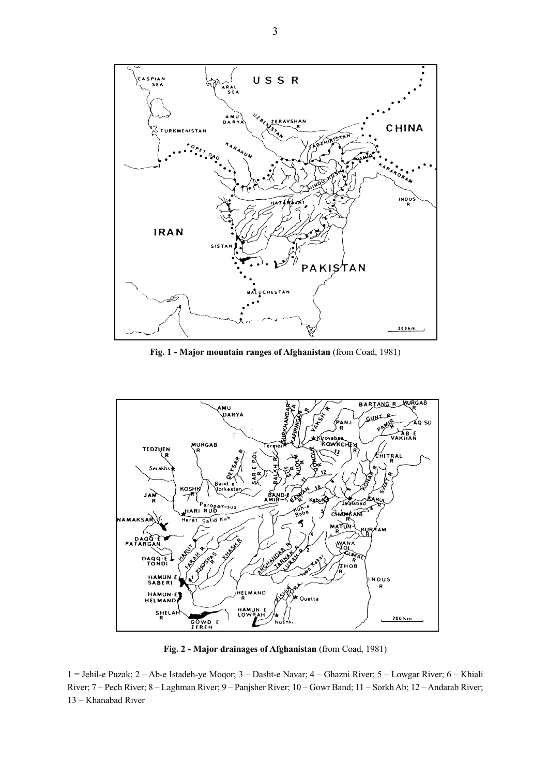

**Fig. 1 - Major mountain ranges of Afghanistan** (from Coad, 1981)



**Fig. 2 - Major drainages of Afghanistan** (from Coad, 1981)

1 = Jehil-e Puzak; 2 – Ab-e Istadeh-ye Moqor; 3 – Dasht-e Navar; 4 – Ghazni River; 5 – Lowgar River; 6 – Khiali River; 7 – Pech River; 8 – Laghman River; 9 – Panjsher River; 10 – Gowr Band; 11 – Sorkh Ab; 12 – Andarab River; 13 – Khanabad River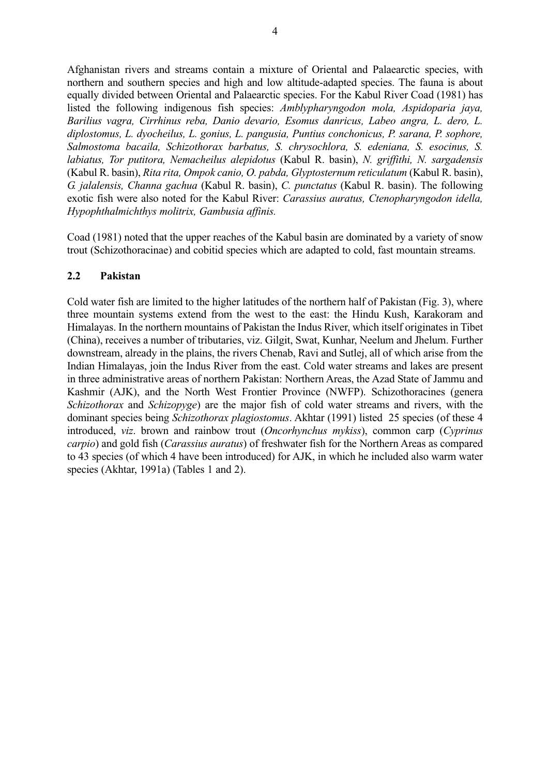Afghanistan rivers and streams contain a mixture of Oriental and Palaearctic species, with northern and southern species and high and low altitude-adapted species. The fauna is about equally divided between Oriental and Palaearctic species. For the Kabul River Coad (1981) has listed the following indigenous fish species: *Amblypharyngodon mola, Aspidoparia jaya, Barilius vagra, Cirrhinus reba, Danio devario, Esomus danricus, Labeo angra, L. dero, L. diplostomus, L. dyocheilus, L. gonius, L. pangusia, Puntius conchonicus, P. sarana, P. sophore, Salmostoma bacaila, Schizothorax barbatus, S. chrysochlora, S. edeniana, S. esocinus, S. labiatus, Tor putitora, Nemacheilus alepidotus* (Kabul R. basin), *N. griffithi, N. sargadensis* (Kabul R. basin), *Rita rita, Ompok canio, O. pabda, Glyptosternum reticulatum* (Kabul R. basin), *G. jalalensis, Channa gachua* (Kabul R. basin), *C. punctatus* (Kabul R. basin). The following exotic fish were also noted for the Kabul River: *Carassius auratus, Ctenopharyngodon idella, Hypophthalmichthys molitrix, Gambusia affinis.*

Coad (1981) noted that the upper reaches of the Kabul basin are dominated by a variety of snow trout (Schizothoracinae) and cobitid species which are adapted to cold, fast mountain streams.

#### **2.2 Pakistan**

Cold water fish are limited to the higher latitudes of the northern half of Pakistan (Fig. 3), where three mountain systems extend from the west to the east: the Hindu Kush, Karakoram and Himalayas. In the northern mountains of Pakistan the Indus River, which itself originates in Tibet (China), receives a number of tributaries, viz. Gilgit, Swat, Kunhar, Neelum and Jhelum. Further downstream, already in the plains, the rivers Chenab, Ravi and Sutlej, all of which arise from the Indian Himalayas, join the Indus River from the east. Cold water streams and lakes are present in three administrative areas of northern Pakistan: Northern Areas, the Azad State of Jammu and Kashmir (AJK), and the North West Frontier Province (NWFP). Schizothoracines (genera *Schizothorax* and *Schizopyge*) are the major fish of cold water streams and rivers, with the dominant species being *Schizothorax plagiostomus*. Akhtar (1991) listed 25 species (of these 4 introduced, *viz*. brown and rainbow trout (*Oncorhynchus mykiss*), common carp (*Cyprinus carpio*) and gold fish (*Carassius auratus*) of freshwater fish for the Northern Areas as compared to 43 species (of which 4 have been introduced) for AJK, in which he included also warm water species (Akhtar, 1991a) (Tables 1 and 2).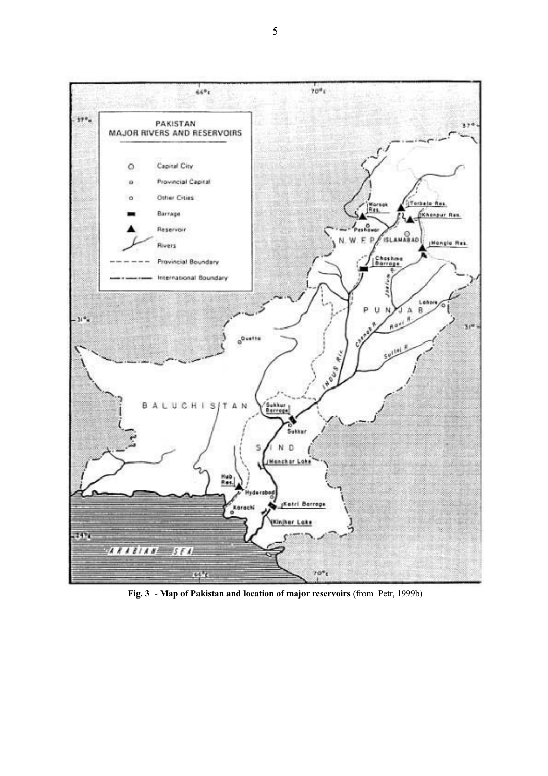

**Fig. 3 - Map of Pakistan and location of major reservoirs** (from Petr, 1999b)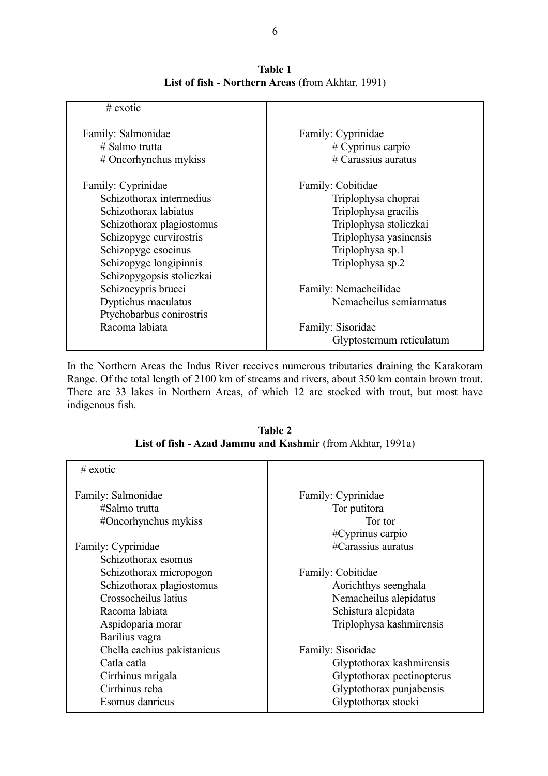| $#$ exotic                                                                                                            |                                                                                                    |
|-----------------------------------------------------------------------------------------------------------------------|----------------------------------------------------------------------------------------------------|
| Family: Salmonidae                                                                                                    | Family: Cyprinidae                                                                                 |
| # Salmo trutta                                                                                                        | # Cyprinus carpio                                                                                  |
| # Oncorhynchus mykiss                                                                                                 | $#$ Carassius auratus                                                                              |
| Family: Cyprinidae                                                                                                    | Family: Cobitidae                                                                                  |
| Schizothorax intermedius                                                                                              | Triplophysa choprai                                                                                |
| Schizothorax labiatus                                                                                                 | Triplophysa gracilis                                                                               |
| Schizothorax plagiostomus                                                                                             | Triplophysa stoliczkai                                                                             |
| Schizopyge curvirostris                                                                                               | Triplophysa yasinensis                                                                             |
| Schizopyge esocinus                                                                                                   | Triplophysa sp.1                                                                                   |
| Schizopyge longipinnis                                                                                                | Triplophysa sp.2                                                                                   |
| Schizopygopsis stoliczkai<br>Schizocypris brucei<br>Dyptichus maculatus<br>Ptychobarbus conirostris<br>Racoma labiata | Family: Nemacheilidae<br>Nemacheilus semiarmatus<br>Family: Sisoridae<br>Glyptosternum reticulatum |

**Table 1 List of fish - Northern Areas** (from Akhtar, 1991)

In the Northern Areas the Indus River receives numerous tributaries draining the Karakoram Range. Of the total length of 2100 km of streams and rivers, about 350 km contain brown trout. There are 33 lakes in Northern Areas, of which 12 are stocked with trout, but most have indigenous fish.

| $#$ exotic                  |                            |
|-----------------------------|----------------------------|
| Family: Salmonidae          | Family: Cyprinidae         |
| #Salmo trutta               | Tor putitora               |
| #Oncorhynchus mykiss        | Tor tor                    |
|                             | $#C$ yprinus carpio        |
| Family: Cyprinidae          | #Carassius auratus         |
| Schizothorax esomus         |                            |
| Schizothorax micropogon     | Family: Cobitidae          |
| Schizothorax plagiostomus   | Aorichthys seenghala       |
| Crossocheilus latius        | Nemacheilus alepidatus     |
| Racoma labiata              | Schistura alepidata        |
| Aspidoparia morar           | Triplophysa kashmirensis   |
| Barilius vagra              |                            |
| Chella cachius pakistanicus | Family: Sisoridae          |
| Catla catla                 | Glyptothorax kashmirensis  |
| Cirrhinus mrigala           | Glyptothorax pectinopterus |
| Cirrhinus reba              | Glyptothorax punjabensis   |
| Esomus danricus             | Glyptothorax stocki        |

**Table 2 List of fish - Azad Jammu and Kashmir** (from Akhtar, 1991a)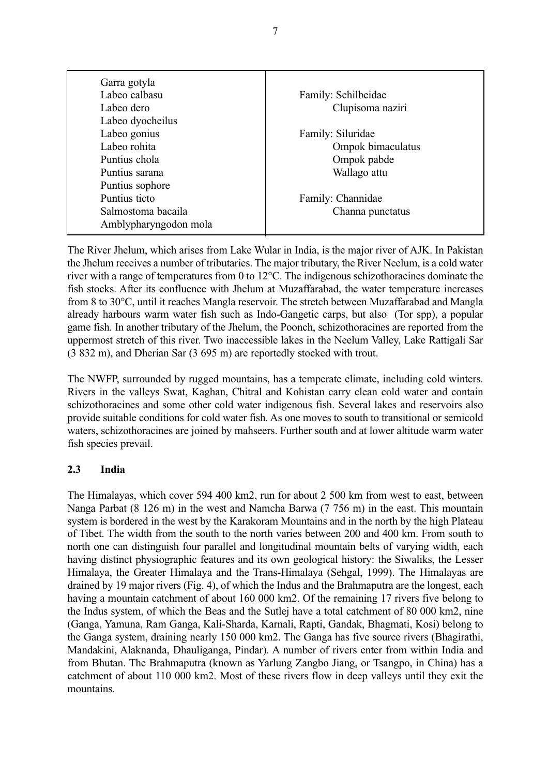| Garra gotyla          |                     |
|-----------------------|---------------------|
| Labeo calbasu         | Family: Schilbeidae |
| Labeo dero            | Clupisoma naziri    |
| Labeo dyocheilus      |                     |
| Labeo gonius          | Family: Siluridae   |
| Labeo rohita          | Ompok bimaculatus   |
| Puntius chola         | Ompok pabde         |
| Puntius sarana        | Wallago attu        |
| Puntius sophore       |                     |
| Puntius ticto         | Family: Channidae   |
| Salmostoma bacaila    | Channa punctatus    |
| Amblypharyngodon mola |                     |
|                       |                     |

The River Jhelum, which arises from Lake Wular in India, is the major river of AJK. In Pakistan the Jhelum receives a number of tributaries. The major tributary, the River Neelum, is a cold water river with a range of temperatures from 0 to 12°C. The indigenous schizothoracines dominate the fish stocks. After its confluence with Jhelum at Muzaffarabad, the water temperature increases from 8 to 30°C, until it reaches Mangla reservoir. The stretch between Muzaffarabad and Mangla already harbours warm water fish such as Indo-Gangetic carps, but also (Tor spp), a popular game fish. In another tributary of the Jhelum, the Poonch, schizothoracines are reported from the uppermost stretch of this river. Two inaccessible lakes in the Neelum Valley, Lake Rattigali Sar (3 832 m), and Dherian Sar (3 695 m) are reportedly stocked with trout.

The NWFP, surrounded by rugged mountains, has a temperate climate, including cold winters. Rivers in the valleys Swat, Kaghan, Chitral and Kohistan carry clean cold water and contain schizothoracines and some other cold water indigenous fish. Several lakes and reservoirs also provide suitable conditions for cold water fish. As one moves to south to transitional or semicold waters, schizothoracines are joined by mahseers. Further south and at lower altitude warm water fish species prevail.

## **2.3 India**

The Himalayas, which cover 594 400 km2, run for about 2 500 km from west to east, between Nanga Parbat (8 126 m) in the west and Namcha Barwa (7 756 m) in the east. This mountain system is bordered in the west by the Karakoram Mountains and in the north by the high Plateau of Tibet. The width from the south to the north varies between 200 and 400 km. From south to north one can distinguish four parallel and longitudinal mountain belts of varying width, each having distinct physiographic features and its own geological history: the Siwaliks, the Lesser Himalaya, the Greater Himalaya and the Trans-Himalaya (Sehgal, 1999). The Himalayas are drained by 19 major rivers (Fig. 4), of which the Indus and the Brahmaputra are the longest, each having a mountain catchment of about 160 000 km2. Of the remaining 17 rivers five belong to the Indus system, of which the Beas and the Sutlej have a total catchment of 80 000 km2, nine (Ganga, Yamuna, Ram Ganga, Kali-Sharda, Karnali, Rapti, Gandak, Bhagmati, Kosi) belong to the Ganga system, draining nearly 150 000 km2. The Ganga has five source rivers (Bhagirathi, Mandakini, Alaknanda, Dhauliganga, Pindar). A number of rivers enter from within India and from Bhutan. The Brahmaputra (known as Yarlung Zangbo Jiang, or Tsangpo, in China) has a catchment of about 110 000 km2. Most of these rivers flow in deep valleys until they exit the mountains.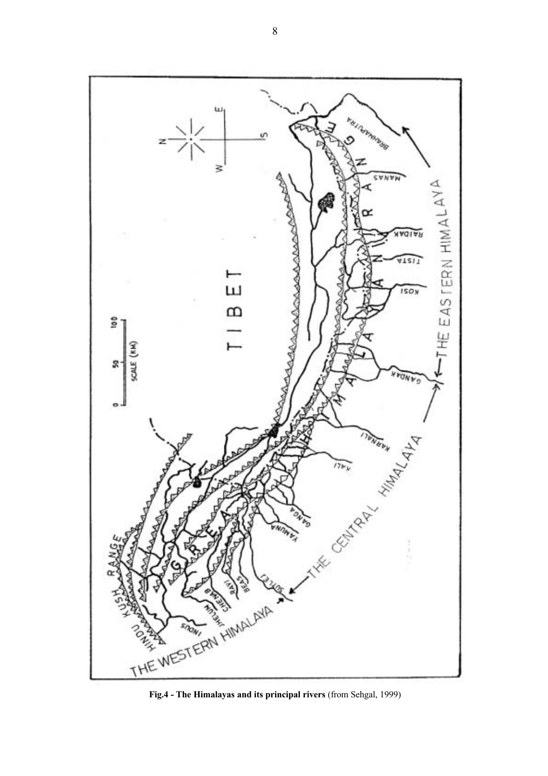

**Fig.4 - The Himalayas and its principal rivers** (from Sehgal, 1999)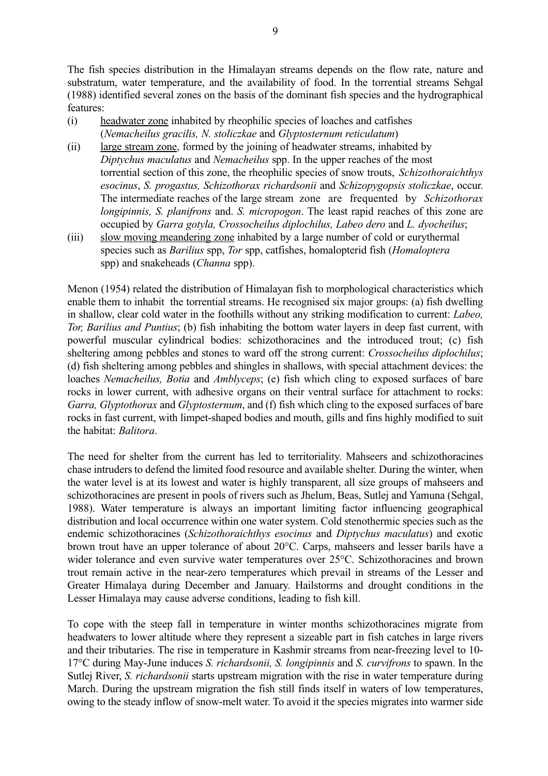The fish species distribution in the Himalayan streams depends on the flow rate, nature and substratum, water temperature, and the availability of food. In the torrential streams Sehgal (1988) identified several zones on the basis of the dominant fish species and the hydrographical features:

- (i) headwater zone inhabited by rheophilic species of loaches and catfishes (*Nemacheilus gracilis, N. stoliczkae* and *Glyptosternum reticulatum*)
- (ii) large stream zone, formed by the joining of headwater streams, inhabited by *Diptychus maculatus* and *Nemacheilus* spp. In the upper reaches of the most torrential section of this zone, the rheophilic species of snow trouts, *Schizothoraichthys esocinus*, *S. progastus, Schizothorax richardsonii* and *Schizopygopsis stoliczkae*, occur. The intermediate reaches of the large stream zone are frequented by *Schizothorax longipinnis, S. planifrons* and. *S. micropogon*. The least rapid reaches of this zone are occupied by *Garra gotyla, Crossocheilus diplochilus, Labeo dero* and *L. dyocheilus*;
- (iii) slow moving meandering zone inhabited by a large number of cold or eurythermal species such as *Barilius* spp, *Tor* spp, catfishes, homalopterid fish (*Homaloptera* spp) and snakeheads (*Channa* spp).

Menon (1954) related the distribution of Himalayan fish to morphological characteristics which enable them to inhabit the torrential streams. He recognised six major groups: (a) fish dwelling in shallow, clear cold water in the foothills without any striking modification to current: *Labeo, Tor, Barilius and Puntius*; (b) fish inhabiting the bottom water layers in deep fast current, with powerful muscular cylindrical bodies: schizothoracines and the introduced trout; (c) fish sheltering among pebbles and stones to ward off the strong current: *Crossocheilus diplochilus*; (d) fish sheltering among pebbles and shingles in shallows, with special attachment devices: the loaches *Nemacheilus, Botia* and *Amblyceps*; (e) fish which cling to exposed surfaces of bare rocks in lower current, with adhesive organs on their ventral surface for attachment to rocks: *Garra, Glyptothorax* and *Glyptosternum*, and (f) fish which cling to the exposed surfaces of bare rocks in fast current, with limpet-shaped bodies and mouth, gills and fins highly modified to suit the habitat: *Balitora*.

The need for shelter from the current has led to territoriality. Mahseers and schizothoracines chase intruders to defend the limited food resource and available shelter. During the winter, when the water level is at its lowest and water is highly transparent, all size groups of mahseers and schizothoracines are present in pools of rivers such as Jhelum, Beas, Sutlej and Yamuna (Sehgal, 1988). Water temperature is always an important limiting factor influencing geographical distribution and local occurrence within one water system. Cold stenothermic species such as the endemic schizothoracines (*Schizothoraichthys esocinus* and *Diptychus maculatus*) and exotic brown trout have an upper tolerance of about 20°C. Carps, mahseers and lesser barils have a wider tolerance and even survive water temperatures over 25°C. Schizothoracines and brown trout remain active in the near-zero temperatures which prevail in streams of the Lesser and Greater Himalaya during December and January. Hailstorms and drought conditions in the Lesser Himalaya may cause adverse conditions, leading to fish kill.

To cope with the steep fall in temperature in winter months schizothoracines migrate from headwaters to lower altitude where they represent a sizeable part in fish catches in large rivers and their tributaries. The rise in temperature in Kashmir streams from near-freezing level to 10- 17°C during May-June induces *S. richardsonii, S. longipinnis* and *S. curvifrons* to spawn. In the Sutlej River, *S. richardsonii* starts upstream migration with the rise in water temperature during March. During the upstream migration the fish still finds itself in waters of low temperatures, owing to the steady inflow of snow-melt water. To avoid it the species migrates into warmer side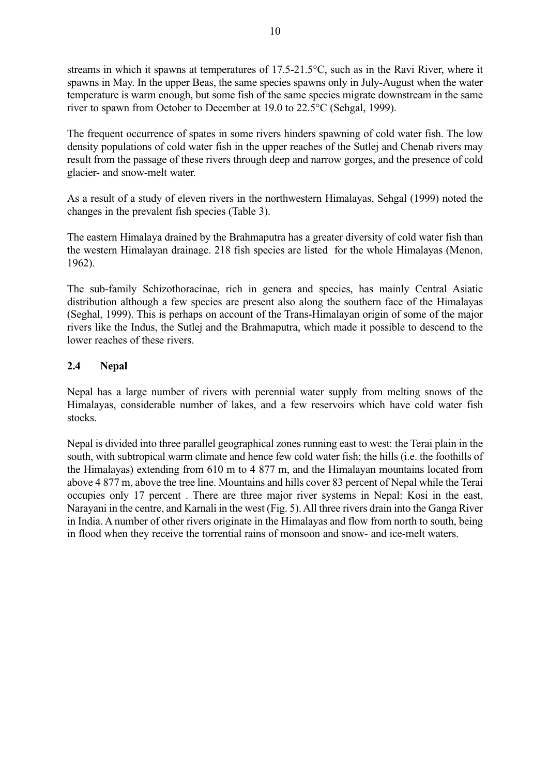streams in which it spawns at temperatures of 17.5-21.5°C, such as in the Ravi River, where it spawns in May. In the upper Beas, the same species spawns only in July-August when the water temperature is warm enough, but some fish of the same species migrate downstream in the same river to spawn from October to December at 19.0 to 22.5°C (Sehgal, 1999).

The frequent occurrence of spates in some rivers hinders spawning of cold water fish. The low density populations of cold water fish in the upper reaches of the Sutlej and Chenab rivers may result from the passage of these rivers through deep and narrow gorges, and the presence of cold glacier- and snow-melt water.

As a result of a study of eleven rivers in the northwestern Himalayas, Sehgal (1999) noted the changes in the prevalent fish species (Table 3).

The eastern Himalaya drained by the Brahmaputra has a greater diversity of cold water fish than the western Himalayan drainage. 218 fish species are listed for the whole Himalayas (Menon, 1962).

The sub-family Schizothoracinae, rich in genera and species, has mainly Central Asiatic distribution although a few species are present also along the southern face of the Himalayas (Seghal, 1999). This is perhaps on account of the Trans-Himalayan origin of some of the major rivers like the Indus, the Sutlej and the Brahmaputra, which made it possible to descend to the lower reaches of these rivers.

## **2.4 Nepal**

Nepal has a large number of rivers with perennial water supply from melting snows of the Himalayas, considerable number of lakes, and a few reservoirs which have cold water fish stocks.

Nepal is divided into three parallel geographical zones running east to west: the Terai plain in the south, with subtropical warm climate and hence few cold water fish; the hills (i.e. the foothills of the Himalayas) extending from 610 m to 4 877 m, and the Himalayan mountains located from above 4 877 m, above the tree line. Mountains and hills cover 83 percent of Nepal while the Terai occupies only 17 percent . There are three major river systems in Nepal: Kosi in the east, Narayani in the centre, and Karnali in the west (Fig. 5). All three rivers drain into the Ganga River in India. A number of other rivers originate in the Himalayas and flow from north to south, being in flood when they receive the torrential rains of monsoon and snow- and ice-melt waters.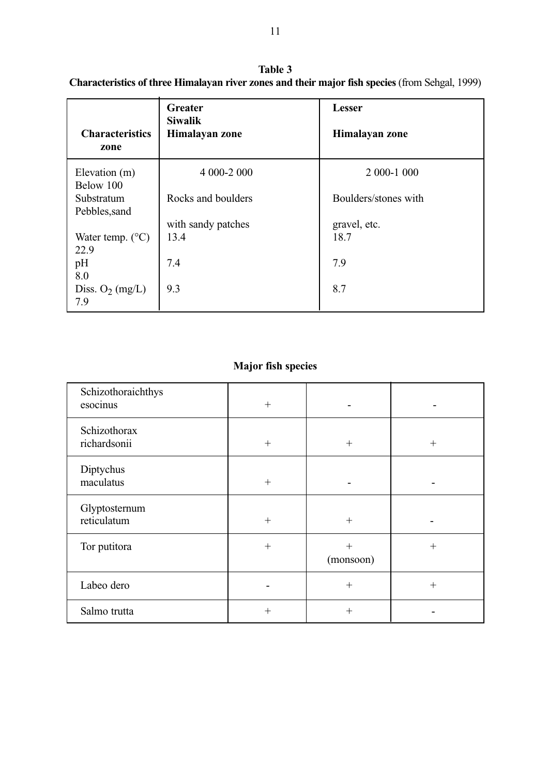**Table 3 Characteristics of three Himalayan river zones and their major fish species** (from Sehgal, 1999)

| <b>Characteristics</b><br>zone | <b>Greater</b><br><b>Siwalik</b><br>Himalayan zone | Lesser<br>Himalayan zone |
|--------------------------------|----------------------------------------------------|--------------------------|
| Elevation (m)<br>Below 100     | 4 000-2 000                                        | 2 000-1 000              |
| Substratum                     | Rocks and boulders                                 | Boulders/stones with     |
| Pebbles, sand                  |                                                    |                          |
|                                | with sandy patches                                 | gravel, etc.             |
| Water temp. $(^{\circ}C)$      | 13.4                                               | 18.7                     |
| 22.9                           |                                                    |                          |
| pH                             | 7.4                                                | 7.9                      |
| 8.0                            |                                                    |                          |
| Diss. $O_2$ (mg/L)             | 9.3                                                | 8.7                      |
| 7.9                            |                                                    |                          |

# **Major fish species**

| Schizothoraichthys<br>esocinus | $^{+}$ |                  |        |
|--------------------------------|--------|------------------|--------|
| Schizothorax<br>richardsonii   | $^{+}$ | $^{+}$           | $^{+}$ |
| Diptychus<br>maculatus         | $^{+}$ |                  |        |
| Glyptosternum<br>reticulatum   | $^{+}$ | $+$              |        |
| Tor putitora                   | $^{+}$ | $+$<br>(monsoon) | $^{+}$ |
| Labeo dero                     |        | $+$              | $^{+}$ |
| Salmo trutta                   | $^{+}$ | $+$              |        |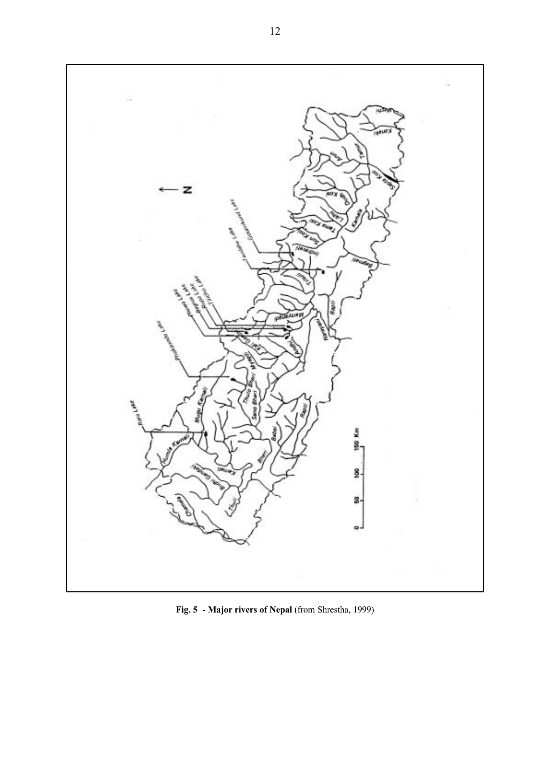

**Fig. 5 - Major rivers of Nepal** (from Shrestha, 1999)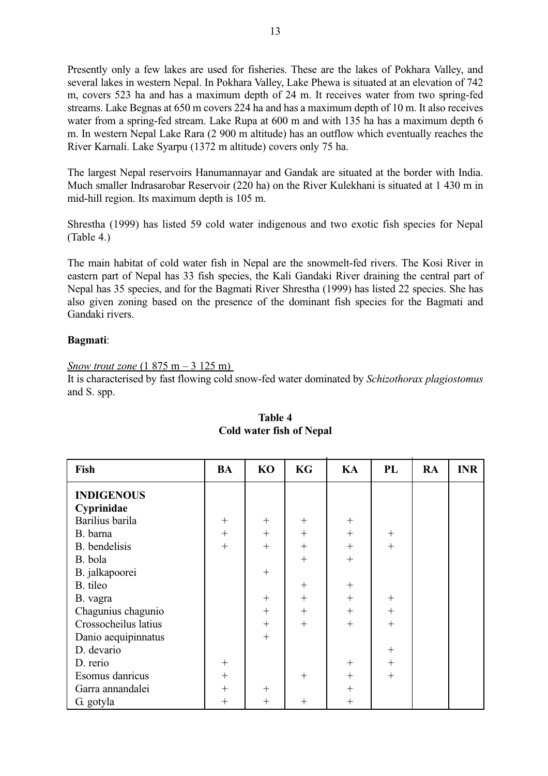Presently only a few lakes are used for fisheries. These are the lakes of Pokhara Valley, and several lakes in western Nepal. In Pokhara Valley, Lake Phewa is situated at an elevation of 742 m, covers 523 ha and has a maximum depth of 24 m. It receives water from two spring-fed streams. Lake Begnas at 650 m covers 224 ha and has a maximum depth of 10 m. It also receives water from a spring-fed stream. Lake Rupa at 600 m and with 135 ha has a maximum depth 6 m. In western Nepal Lake Rara (2 900 m altitude) has an outflow which eventually reaches the River Karnali. Lake Syarpu (1372 m altitude) covers only 75 ha.

The largest Nepal reservoirs Hanumannayar and Gandak are situated at the border with India. Much smaller Indrasarobar Reservoir (220 ha) on the River Kulekhani is situated at 1 430 m in mid-hill region. Its maximum depth is 105 m.

Shrestha (1999) has listed 59 cold water indigenous and two exotic fish species for Nepal (Table 4.)

The main habitat of cold water fish in Nepal are the snowmelt-fed rivers. The Kosi River in eastern part of Nepal has 33 fish species, the Kali Gandaki River draining the central part of Nepal has 35 species, and for the Bagmati River Shrestha (1999) has listed 22 species. She has also given zoning based on the presence of the dominant fish species for the Bagmati and Gandaki rivers.

#### **Bagmati**:

*Snow trout zone* (1 875 m – 3 125 m)

It is characterised by fast flowing cold snow-fed water dominated by *Schizothorax plagiostomus* and S. spp.

| Fish                 | <b>BA</b> | KO     | <b>KG</b> | KA                 | <b>PL</b> | <b>RA</b> | <b>INR</b> |
|----------------------|-----------|--------|-----------|--------------------|-----------|-----------|------------|
| <b>INDIGENOUS</b>    |           |        |           |                    |           |           |            |
| Cyprinidae           |           |        |           |                    |           |           |            |
| Barilius barila      | $+$       | $+$    | $^{+}$    | $^{+}$             |           |           |            |
| B. barna             | $+$       | $+$    | $+$       | $+$                | $+$       |           |            |
| B. bendelisis        | $+$       | $+$    | $+$       | $^{+}$             | $+$       |           |            |
| B. bola              |           |        | $+$       | $^{+}$             |           |           |            |
| B. jalkapoorei       |           | $+$    |           |                    |           |           |            |
| B. tileo             |           |        | $^{+}$    | $^{+}$             |           |           |            |
| B. vagra             |           | $+$    | $+$       | $^{+}$             | $+$       |           |            |
| Chagunius chagunio   |           | $+$    | $+$       | $^{+}$             | $+$       |           |            |
| Crossocheilus latius |           | $^{+}$ | $^{+}$    | $^{+}$             | $+$       |           |            |
| Danio aequipinnatus  |           | $+$    |           |                    |           |           |            |
| D. devario           |           |        |           |                    | $^{+}$    |           |            |
| D. rerio             | $+$       |        |           | $^{+}$             | $+$       |           |            |
| Esomus danricus      | $+$       |        | $^{+}$    | $^{+}$             | $+$       |           |            |
| Garra annandalei     | $+$       | $+$    |           | $^{+}$             |           |           |            |
| G. gotyla            | $^{+}$    | $^{+}$ | $^{+}$    | $\hspace{0.1mm} +$ |           |           |            |

# **Table 4 Cold water fish of Nepal**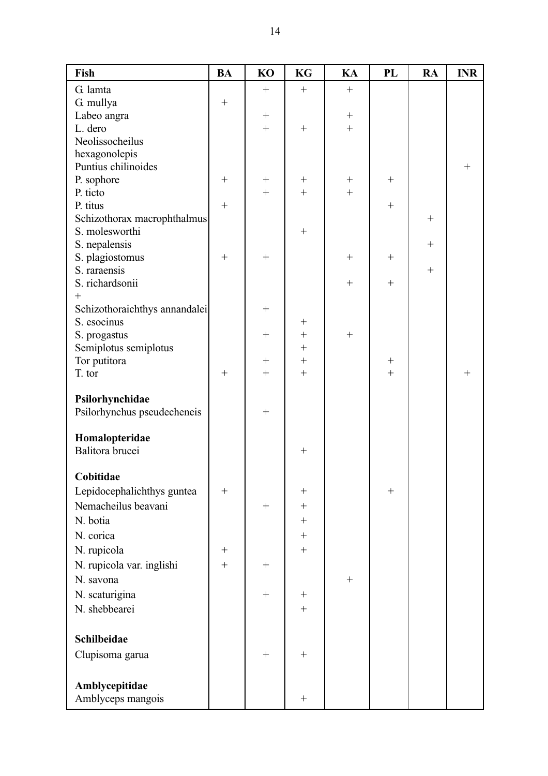| Fish                                | <b>BA</b>        | KO               | KG                 | KA               | PL               | <b>RA</b>        | <b>INR</b>       |
|-------------------------------------|------------------|------------------|--------------------|------------------|------------------|------------------|------------------|
| G. lamta                            |                  | $+$              | $\! +$             | $\boldsymbol{+}$ |                  |                  |                  |
| G. mullya                           | $\! + \!$        |                  |                    |                  |                  |                  |                  |
| Labeo angra                         |                  | $\boldsymbol{+}$ |                    | $\boldsymbol{+}$ |                  |                  |                  |
| L. dero                             |                  | $\ddot{}$        | $\boldsymbol{+}$   | $\overline{+}$   |                  |                  |                  |
| Neolissocheilus                     |                  |                  |                    |                  |                  |                  |                  |
| hexagonolepis                       |                  |                  |                    |                  |                  |                  |                  |
| Puntius chilinoides                 |                  |                  |                    |                  |                  |                  | $^{+}$           |
| P. sophore                          | $\! + \!$        | $\boldsymbol{+}$ | $\! + \!$          |                  |                  |                  |                  |
| P. ticto                            |                  | $^{+}$           | $^{+}$             | $\! + \!$        |                  |                  |                  |
| P. titus                            |                  |                  |                    |                  |                  |                  |                  |
| Schizothorax macrophthalmus         |                  |                  |                    |                  |                  | $\boldsymbol{+}$ |                  |
| S. molesworthi                      |                  |                  | $^{+}$             |                  |                  |                  |                  |
| S. nepalensis                       |                  |                  |                    |                  |                  | $\! + \!$        |                  |
| S. plagiostomus                     | $\! + \!$        | $\! + \!$        |                    |                  |                  |                  |                  |
| S. raraensis                        |                  |                  |                    |                  |                  | $\boldsymbol{+}$ |                  |
| S. richardsonii                     |                  |                  |                    | $\boldsymbol{+}$ | $\boldsymbol{+}$ |                  |                  |
| $+$                                 |                  |                  |                    |                  |                  |                  |                  |
| Schizothoraichthys annandalei       |                  | $\! +$           |                    |                  |                  |                  |                  |
| S. esocinus                         |                  |                  | $^{+}$             |                  |                  |                  |                  |
| S. progastus                        |                  | $^{+}$           | $\! + \!$          | $^{+}$           |                  |                  |                  |
| Semiplotus semiplotus               |                  |                  | $\! + \!$          |                  |                  |                  |                  |
| Tor putitora                        |                  | $\! + \!$        |                    |                  | $\! + \!$        |                  |                  |
| T. tor                              |                  | $^{+}$           | $^{+}$             |                  | $^{+}$           |                  | $\boldsymbol{+}$ |
|                                     |                  |                  |                    |                  |                  |                  |                  |
| Psilorhynchidae                     |                  |                  |                    |                  |                  |                  |                  |
| Psilorhynchus pseudecheneis         |                  | $\! +$           |                    |                  |                  |                  |                  |
|                                     |                  |                  |                    |                  |                  |                  |                  |
| Homalopteridae                      |                  |                  |                    |                  |                  |                  |                  |
| Balitora brucei                     |                  |                  | $\! + \!$          |                  |                  |                  |                  |
| Cobitidae                           |                  |                  |                    |                  |                  |                  |                  |
|                                     |                  |                  |                    |                  |                  |                  |                  |
| Lepidocephalichthys guntea          | $\! + \!$        |                  | $\hspace{0.1mm} +$ |                  | $^{+}$           |                  |                  |
| Nemacheilus beavani                 |                  | $\! + \!$        | $\! + \!$          |                  |                  |                  |                  |
| N. botia                            |                  |                  | $\boldsymbol{+}$   |                  |                  |                  |                  |
| N. corica                           |                  |                  | $\! + \!$          |                  |                  |                  |                  |
| N. rupicola                         | $\boldsymbol{+}$ |                  | $\! + \!$          |                  |                  |                  |                  |
| N. rupicola var. inglishi           |                  | $\! +$           |                    |                  |                  |                  |                  |
| N. savona                           |                  |                  |                    | $^{+}$           |                  |                  |                  |
|                                     |                  |                  |                    |                  |                  |                  |                  |
| N. scaturigina                      |                  | $\boldsymbol{+}$ | $\! + \!$          |                  |                  |                  |                  |
| N. shebbearei                       |                  |                  |                    |                  |                  |                  |                  |
|                                     |                  |                  |                    |                  |                  |                  |                  |
| Schilbeidae                         |                  |                  |                    |                  |                  |                  |                  |
| Clupisoma garua                     |                  |                  | $^{+}$             |                  |                  |                  |                  |
|                                     |                  |                  |                    |                  |                  |                  |                  |
| Amblycepitidae<br>Amblyceps mangois |                  |                  | $^{+}$             |                  |                  |                  |                  |
|                                     |                  |                  |                    |                  |                  |                  |                  |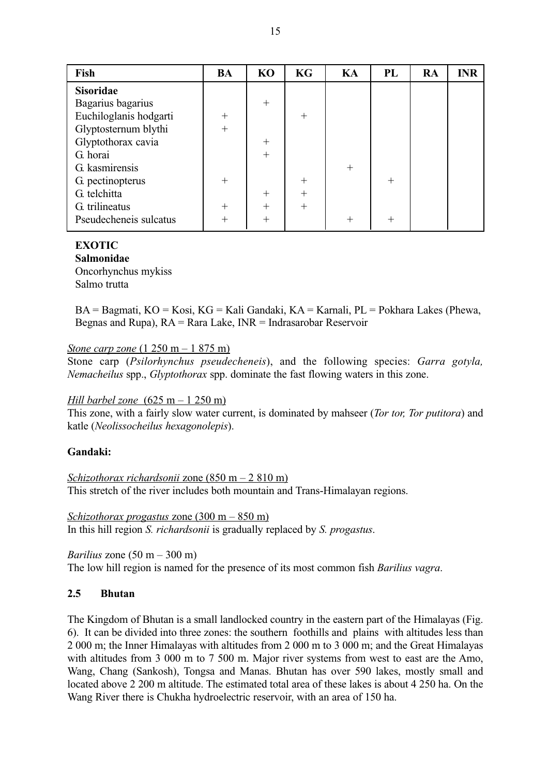| Fish                   | <b>BA</b> | KO  | KG             | KA     | <b>PL</b> | <b>RA</b> | <b>INR</b> |
|------------------------|-----------|-----|----------------|--------|-----------|-----------|------------|
| <b>Sisoridae</b>       |           |     |                |        |           |           |            |
| Bagarius bagarius      |           | $+$ |                |        |           |           |            |
| Euchiloglanis hodgarti | $+$       |     | $+$            |        |           |           |            |
| Glyptosternum blythi   | $+$       |     |                |        |           |           |            |
| Glyptothorax cavia     |           | $+$ |                |        |           |           |            |
| G. horai               |           | $+$ |                |        |           |           |            |
| G. kasmirensis         |           |     |                | $+$    |           |           |            |
| G. pectinopterus       | $^{+}$    |     | $^{+}$         |        | $^{+}$    |           |            |
| G. telchitta           |           | $+$ | $\overline{+}$ |        |           |           |            |
| G. trilineatus         | $^{+}$    | $+$ | $^{+}$         |        |           |           |            |
| Pseudecheneis sulcatus | $^{+}$    | $+$ |                | $^{+}$ | $\pm$     |           |            |

#### **EXOTIC**

**Salmonidae**

Oncorhynchus mykiss Salmo trutta

 $BA =$ Bagmati,  $KO =$ Kosi,  $KG =$ Kali Gandaki,  $KA =$ Karnali,  $PL =$ Pokhara Lakes (Phewa, Begnas and Rupa), RA = Rara Lake, INR = Indrasarobar Reservoir

#### *Stone carp zone* (1 250 m – 1 875 m)

Stone carp (*Psilorhynchus pseudecheneis*), and the following species: *Garra gotyla, Nemacheilus* spp., *Glyptothorax* spp. dominate the fast flowing waters in this zone.

#### *Hill barbel zone* (625 m – 1 250 m)

This zone, with a fairly slow water current, is dominated by mahseer (*Tor tor, Tor putitora*) and katle (*Neolissocheilus hexagonolepis*).

## **Gandaki:**

*Schizothorax richardsonii* zone (850 m – 2 810 m) This stretch of the river includes both mountain and Trans-Himalayan regions.

*Schizothorax progastus* zone (300 m – 850 m) In this hill region *S. richardsonii* is gradually replaced by *S. progastus*.

*Barilius* zone (50 m – 300 m) The low hill region is named for the presence of its most common fish *Barilius vagra*.

#### **2.5 Bhutan**

The Kingdom of Bhutan is a small landlocked country in the eastern part of the Himalayas (Fig. 6). It can be divided into three zones: the southern foothills and plains with altitudes less than 2 000 m; the Inner Himalayas with altitudes from 2 000 m to 3 000 m; and the Great Himalayas with altitudes from 3 000 m to 7 500 m. Major river systems from west to east are the Amo, Wang, Chang (Sankosh), Tongsa and Manas. Bhutan has over 590 lakes, mostly small and located above 2 200 m altitude. The estimated total area of these lakes is about 4 250 ha. On the Wang River there is Chukha hydroelectric reservoir, with an area of 150 ha.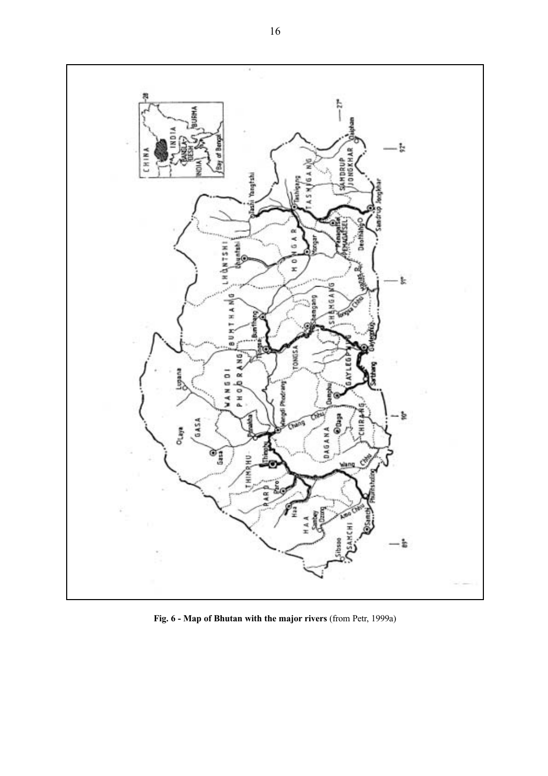

**Fig. 6 - Map of Bhutan with the major rivers** (from Petr, 1999a)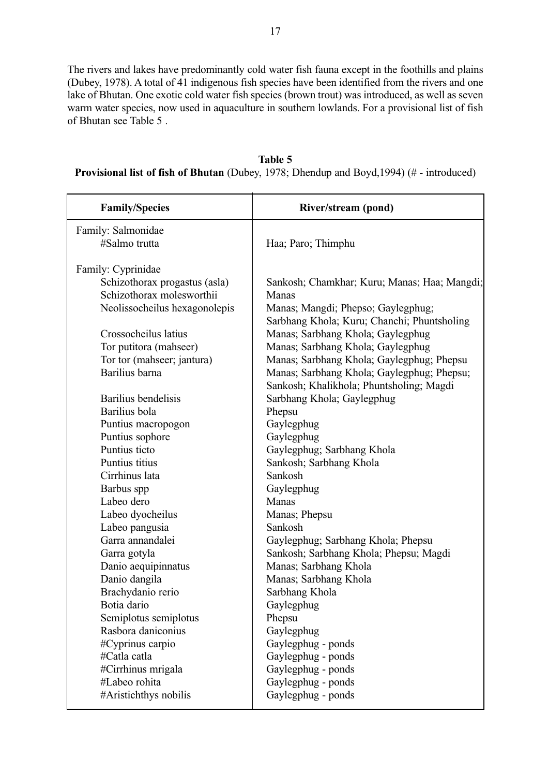The rivers and lakes have predominantly cold water fish fauna except in the foothills and plains (Dubey, 1978). A total of 41 indigenous fish species have been identified from the rivers and one lake of Bhutan. One exotic cold water fish species (brown trout) was introduced, as well as seven warm water species, now used in aquaculture in southern lowlands. For a provisional list of fish of Bhutan see Table 5 .

| <b>Family/Species</b>         | River/stream (pond)                          |
|-------------------------------|----------------------------------------------|
| Family: Salmonidae            |                                              |
| #Salmo trutta                 | Haa; Paro; Thimphu                           |
|                               |                                              |
| Family: Cyprinidae            |                                              |
| Schizothorax progastus (asla) | Sankosh; Chamkhar; Kuru; Manas; Haa; Mangdi; |
| Schizothorax molesworthii     | Manas                                        |
| Neolissocheilus hexagonolepis | Manas; Mangdi; Phepso; Gaylegphug;           |
|                               | Sarbhang Khola; Kuru; Chanchi; Phuntsholing  |
| Crossocheilus latius          | Manas; Sarbhang Khola; Gaylegphug            |
| Tor putitora (mahseer)        | Manas; Sarbhang Khola; Gaylegphug            |
| Tor tor (mahseer; jantura)    | Manas; Sarbhang Khola; Gaylegphug; Phepsu    |
| Barilius barna                | Manas; Sarbhang Khola; Gaylegphug; Phepsu;   |
|                               | Sankosh; Khalikhola; Phuntsholing; Magdi     |
| Barilius bendelisis           | Sarbhang Khola; Gaylegphug                   |
| Barilius bola                 | Phepsu                                       |
| Puntius macropogon            | Gaylegphug                                   |
| Puntius sophore               | Gaylegphug                                   |
| Puntius ticto                 | Gaylegphug; Sarbhang Khola                   |
| Puntius titius                | Sankosh; Sarbhang Khola                      |
| Cirrhinus lata                | Sankosh                                      |
| Barbus spp                    | Gaylegphug                                   |
| Labeo dero                    | Manas                                        |
| Labeo dyocheilus              | Manas; Phepsu                                |
| Labeo pangusia                | Sankosh                                      |
| Garra annandalei              | Gaylegphug; Sarbhang Khola; Phepsu           |
| Garra gotyla                  | Sankosh; Sarbhang Khola; Phepsu; Magdi       |
| Danio aequipinnatus           | Manas; Sarbhang Khola                        |
| Danio dangila                 | Manas; Sarbhang Khola                        |
| Brachydanio rerio             | Sarbhang Khola                               |
| Botia dario                   | Gaylegphug                                   |
| Semiplotus semiplotus         | Phepsu                                       |
| Rasbora daniconius            | Gaylegphug                                   |
| #Cyprinus carpio              | Gaylegphug - ponds                           |
| #Catla catla                  | Gaylegphug - ponds                           |
| #Cirrhinus mrigala            | Gaylegphug - ponds                           |

#Labeo rohita Gaylegphug - ponds #Aristichthys nobilis Gaylegphug - ponds

**Table 5 Provisional list of fish of Bhutan** (Dubey, 1978; Dhendup and Boyd,1994) (# - introduced)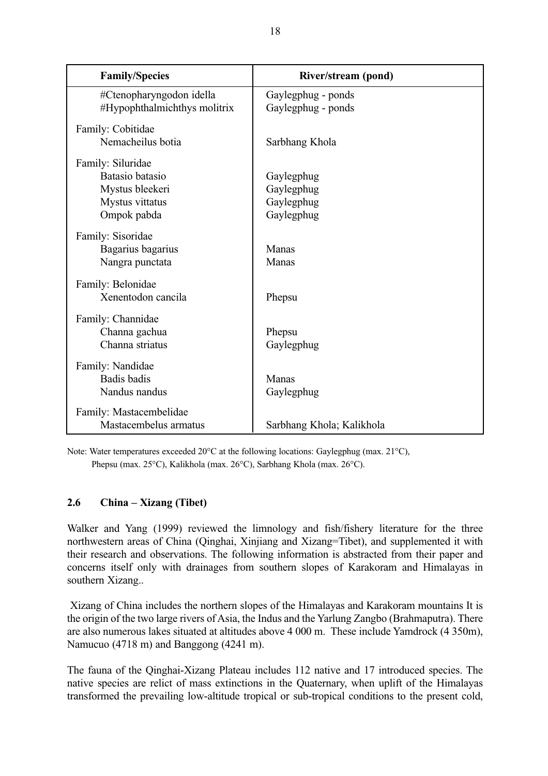| <b>Family/Species</b>                   | River/stream (pond)       |
|-----------------------------------------|---------------------------|
| #Ctenopharyngodon idella                | Gaylegphug - ponds        |
| #Hypophthalmichthys molitrix            | Gaylegphug - ponds        |
| Family: Cobitidae                       |                           |
| Nemacheilus botia                       | Sarbhang Khola            |
| Family: Siluridae                       |                           |
| Batasio batasio                         | Gaylegphug                |
| Mystus bleekeri                         | Gaylegphug                |
| Mystus vittatus<br>Ompok pabda          | Gaylegphug<br>Gaylegphug  |
|                                         |                           |
| Family: Sisoridae<br>Bagarius bagarius  | Manas                     |
| Nangra punctata                         | Manas                     |
|                                         |                           |
| Family: Belonidae<br>Xenentodon cancila |                           |
|                                         | Phepsu                    |
| Family: Channidae                       |                           |
| Channa gachua                           | Phepsu                    |
| Channa striatus                         | Gaylegphug                |
| Family: Nandidae                        |                           |
| Badis badis                             | Manas                     |
| Nandus nandus                           | Gaylegphug                |
| Family: Mastacembelidae                 |                           |
| Mastacembelus armatus                   | Sarbhang Khola; Kalikhola |

Note: Water temperatures exceeded 20°C at the following locations: Gaylegphug (max. 21°C), Phepsu (max. 25°C), Kalikhola (max. 26°C), Sarbhang Khola (max. 26°C).

## **2.6 China – Xizang (Tibet)**

Walker and Yang (1999) reviewed the limnology and fish/fishery literature for the three northwestern areas of China (Qinghai, Xinjiang and Xizang=Tibet), and supplemented it with their research and observations. The following information is abstracted from their paper and concerns itself only with drainages from southern slopes of Karakoram and Himalayas in southern Xizang..

Xizang of China includes the northern slopes of the Himalayas and Karakoram mountains It is the origin of the two large rivers of Asia, the Indus and the Yarlung Zangbo (Brahmaputra). There are also numerous lakes situated at altitudes above 4 000 m. These include Yamdrock (4 350m), Namucuo (4718 m) and Banggong (4241 m).

The fauna of the Qinghai-Xizang Plateau includes 112 native and 17 introduced species. The native species are relict of mass extinctions in the Quaternary, when uplift of the Himalayas transformed the prevailing low-altitude tropical or sub-tropical conditions to the present cold,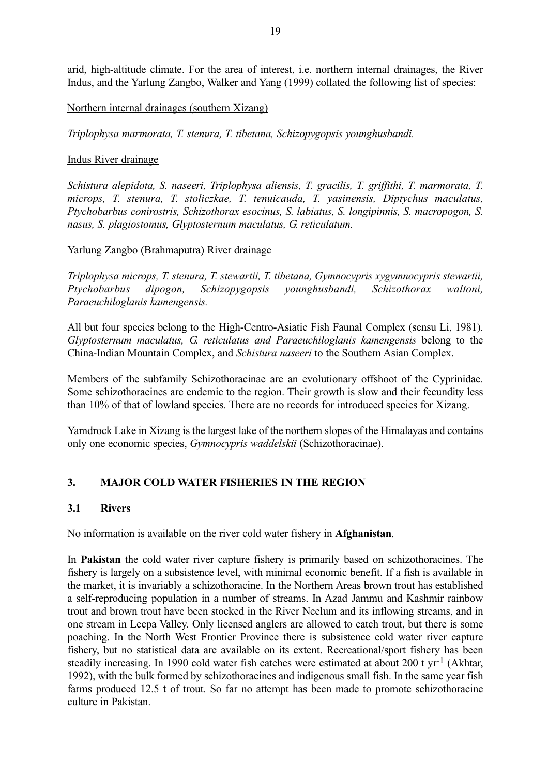arid, high-altitude climate. For the area of interest, i.e. northern internal drainages, the River Indus, and the Yarlung Zangbo, Walker and Yang (1999) collated the following list of species:

Northern internal drainages (southern Xizang)

*Triplophysa marmorata, T. stenura, T. tibetana, Schizopygopsis younghusbandi.*

#### Indus River drainage

*Schistura alepidota, S. naseeri, Triplophysa aliensis, T. gracilis, T. griffithi, T. marmorata, T. microps, T. stenura, T. stoliczkae, T. tenuicauda, T. yasinensis, Diptychus maculatus, Ptychobarbus conirostris, Schizothorax esocinus, S. labiatus, S. longipinnis, S. macropogon, S. nasus, S. plagiostomus, Glyptosternum maculatus, G. reticulatum.*

#### Yarlung Zangbo (Brahmaputra) River drainage

*Triplophysa microps, T. stenura, T. stewartii, T. tibetana, Gymnocypris xygymnocypris stewartii, Ptychobarbus dipogon, Schizopygopsis younghusbandi, Schizothorax waltoni, Paraeuchiloglanis kamengensis.*

All but four species belong to the High-Centro-Asiatic Fish Faunal Complex (sensu Li, 1981). *Glyptosternum maculatus, G. reticulatus and Paraeuchiloglanis kamengensis* belong to the China-Indian Mountain Complex, and *Schistura naseeri* to the Southern Asian Complex.

Members of the subfamily Schizothoracinae are an evolutionary offshoot of the Cyprinidae. Some schizothoracines are endemic to the region. Their growth is slow and their fecundity less than 10% of that of lowland species. There are no records for introduced species for Xizang.

Yamdrock Lake in Xizang is the largest lake of the northern slopes of the Himalayas and contains only one economic species, *Gymnocypris waddelskii* (Schizothoracinae).

## **3. MAJOR COLD WATER FISHERIES IN THE REGION**

#### **3.1 Rivers**

No information is available on the river cold water fishery in **Afghanistan**.

In **Pakistan** the cold water river capture fishery is primarily based on schizothoracines. The fishery is largely on a subsistence level, with minimal economic benefit. If a fish is available in the market, it is invariably a schizothoracine. In the Northern Areas brown trout has established a self-reproducing population in a number of streams. In Azad Jammu and Kashmir rainbow trout and brown trout have been stocked in the River Neelum and its inflowing streams, and in one stream in Leepa Valley. Only licensed anglers are allowed to catch trout, but there is some poaching. In the North West Frontier Province there is subsistence cold water river capture fishery, but no statistical data are available on its extent. Recreational/sport fishery has been steadily increasing. In 1990 cold water fish catches were estimated at about 200 t  $yr^{-1}$  (Akhtar, 1992), with the bulk formed by schizothoracines and indigenous small fish. In the same year fish farms produced 12.5 t of trout. So far no attempt has been made to promote schizothoracine culture in Pakistan.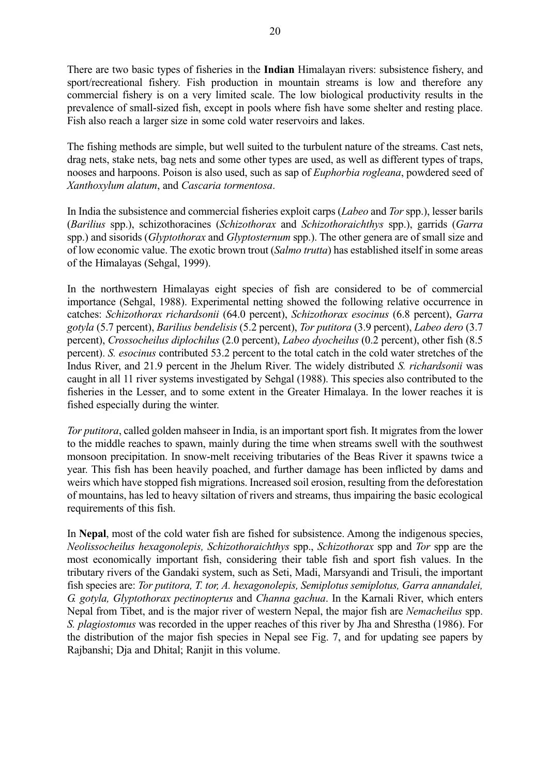There are two basic types of fisheries in the **Indian** Himalayan rivers: subsistence fishery, and sport/recreational fishery. Fish production in mountain streams is low and therefore any commercial fishery is on a very limited scale. The low biological productivity results in the prevalence of small-sized fish, except in pools where fish have some shelter and resting place. Fish also reach a larger size in some cold water reservoirs and lakes.

The fishing methods are simple, but well suited to the turbulent nature of the streams. Cast nets, drag nets, stake nets, bag nets and some other types are used, as well as different types of traps, nooses and harpoons. Poison is also used, such as sap of *Euphorbia rogleana*, powdered seed of *Xanthoxylum alatum*, and *Cascaria tormentosa*.

In India the subsistence and commercial fisheries exploit carps (*Labeo* and *Tor* spp.), lesser barils (*Barilius* spp.), schizothoracines (*Schizothorax* and *Schizothoraichthys* spp.), garrids (*Garra* spp.) and sisorids (*Glyptothorax* and *Glyptosternum* spp.). The other genera are of small size and of low economic value. The exotic brown trout (*Salmo trutta*) has established itself in some areas of the Himalayas (Sehgal, 1999).

In the northwestern Himalayas eight species of fish are considered to be of commercial importance (Sehgal, 1988). Experimental netting showed the following relative occurrence in catches: *Schizothorax richardsonii* (64.0 percent), *Schizothorax esocinus* (6.8 percent), *Garra gotyla* (5.7 percent), *Barilius bendelisis* (5.2 percent), *Tor putitora* (3.9 percent), *Labeo dero* (3.7 percent), *Crossocheilus diplochilus* (2.0 percent), *Labeo dyocheilus* (0.2 percent), other fish (8.5 percent). *S. esocinus* contributed 53.2 percent to the total catch in the cold water stretches of the Indus River, and 21.9 percent in the Jhelum River. The widely distributed *S. richardsonii* was caught in all 11 river systems investigated by Sehgal (1988). This species also contributed to the fisheries in the Lesser, and to some extent in the Greater Himalaya. In the lower reaches it is fished especially during the winter.

*Tor putitora*, called golden mahseer in India, is an important sport fish. It migrates from the lower to the middle reaches to spawn, mainly during the time when streams swell with the southwest monsoon precipitation. In snow-melt receiving tributaries of the Beas River it spawns twice a year. This fish has been heavily poached, and further damage has been inflicted by dams and weirs which have stopped fish migrations. Increased soil erosion, resulting from the deforestation of mountains, has led to heavy siltation of rivers and streams, thus impairing the basic ecological requirements of this fish.

In **Nepal**, most of the cold water fish are fished for subsistence. Among the indigenous species, *Neolissocheilus hexagonolepis, Schizothoraichthys* spp., *Schizothorax* spp and *Tor* spp are the most economically important fish, considering their table fish and sport fish values. In the tributary rivers of the Gandaki system, such as Seti, Madi, Marsyandi and Trisuli, the important fish species are: *Tor putitora, T. tor, A. hexagonolepis, Semiplotus semiplotus, Garra annandalei, G. gotyla, Glyptothorax pectinopterus* and *Channa gachua*. In the Karnali River, which enters Nepal from Tibet, and is the major river of western Nepal, the major fish are *Nemacheilus* spp. *S. plagiostomus* was recorded in the upper reaches of this river by Jha and Shrestha (1986). For the distribution of the major fish species in Nepal see Fig. 7, and for updating see papers by Rajbanshi; Dja and Dhital; Ranjit in this volume.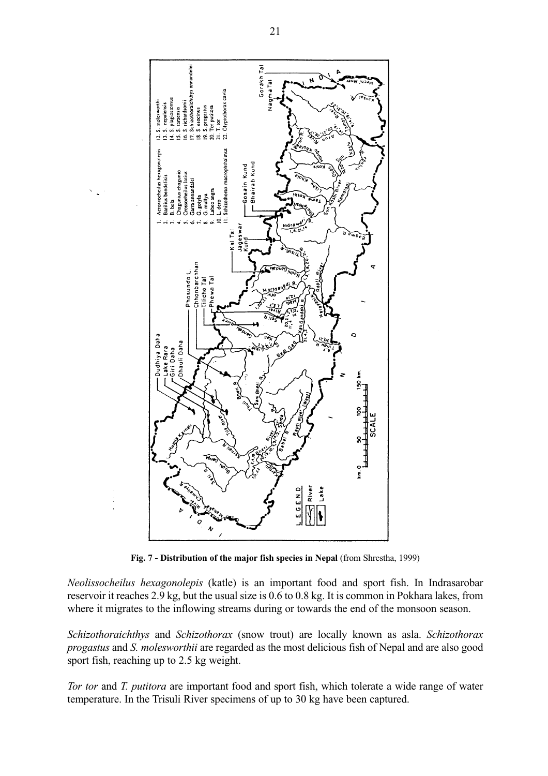

**Fig. 7 - Distribution of the major fish species in Nepal** (from Shrestha, 1999)

*Neolissocheilus hexagonolepis* (katle) is an important food and sport fish. In Indrasarobar reservoir it reaches 2.9 kg, but the usual size is 0.6 to 0.8 kg. It is common in Pokhara lakes, from where it migrates to the inflowing streams during or towards the end of the monsoon season.

*Schizothoraichthys* and *Schizothorax* (snow trout) are locally known as asla. *Schizothorax progastus* and *S. molesworthii* are regarded as the most delicious fish of Nepal and are also good sport fish, reaching up to 2.5 kg weight.

*Tor tor* and *T. putitora* are important food and sport fish, which tolerate a wide range of water temperature. In the Trisuli River specimens of up to 30 kg have been captured.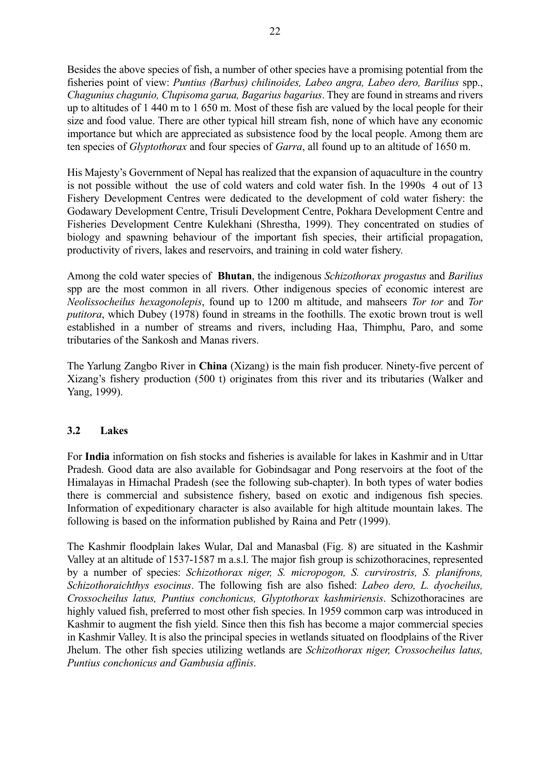Besides the above species of fish, a number of other species have a promising potential from the fisheries point of view: *Puntius (Barbus) chilinoides, Labeo angra, Labeo dero, Barilius* spp., *Chagunius chagunio, Clupisoma garua, Bagarius bagarius*. They are found in streams and rivers up to altitudes of 1 440 m to 1 650 m. Most of these fish are valued by the local people for their size and food value. There are other typical hill stream fish, none of which have any economic importance but which are appreciated as subsistence food by the local people. Among them are ten species of *Glyptothorax* and four species of *Garra*, all found up to an altitude of 1650 m.

His Majesty's Government of Nepal has realized that the expansion of aquaculture in the country is not possible without the use of cold waters and cold water fish. In the 1990s 4 out of 13 Fishery Development Centres were dedicated to the development of cold water fishery: the Godawary Development Centre, Trisuli Development Centre, Pokhara Development Centre and Fisheries Development Centre Kulekhani (Shrestha, 1999). They concentrated on studies of biology and spawning behaviour of the important fish species, their artificial propagation, productivity of rivers, lakes and reservoirs, and training in cold water fishery.

Among the cold water species of **Bhutan**, the indigenous *Schizothorax progastus* and *Barilius* spp are the most common in all rivers. Other indigenous species of economic interest are *Neolissocheilus hexagonolepis*, found up to 1200 m altitude, and mahseers *Tor tor* and *Tor putitora*, which Dubey (1978) found in streams in the foothills. The exotic brown trout is well established in a number of streams and rivers, including Haa, Thimphu, Paro, and some tributaries of the Sankosh and Manas rivers.

The Yarlung Zangbo River in **China** (Xizang) is the main fish producer. Ninety-five percent of Xizang's fishery production (500 t) originates from this river and its tributaries (Walker and Yang, 1999).

## **3.2 Lakes**

For **India** information on fish stocks and fisheries is available for lakes in Kashmir and in Uttar Pradesh. Good data are also available for Gobindsagar and Pong reservoirs at the foot of the Himalayas in Himachal Pradesh (see the following sub-chapter). In both types of water bodies there is commercial and subsistence fishery, based on exotic and indigenous fish species. Information of expeditionary character is also available for high altitude mountain lakes. The following is based on the information published by Raina and Petr (1999).

The Kashmir floodplain lakes Wular, Dal and Manasbal (Fig. 8) are situated in the Kashmir Valley at an altitude of 1537-1587 m a.s.l. The major fish group is schizothoracines, represented by a number of species: *Schizothorax niger, S. micropogon, S. curvirostris, S. planifrons, Schizothoraichthys esocinus*. The following fish are also fished: *Labeo dero, L. dyocheilus, Crossocheilus latus, Puntius conchonicus, Glyptothorax kashmiriensis*. Schizothoracines are highly valued fish, preferred to most other fish species. In 1959 common carp was introduced in Kashmir to augment the fish yield. Since then this fish has become a major commercial species in Kashmir Valley. It is also the principal species in wetlands situated on floodplains of the River Jhelum. The other fish species utilizing wetlands are *Schizothorax niger, Crossocheilus latus, Puntius conchonicus and Gambusia affinis*.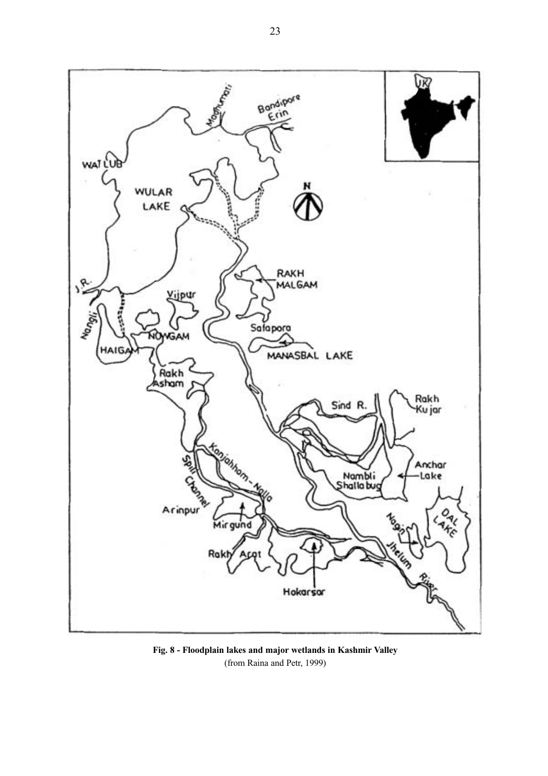

**Fig. 8 - Floodplain lakes and major wetlands in Kashmir Valley**  (from Raina and Petr, 1999)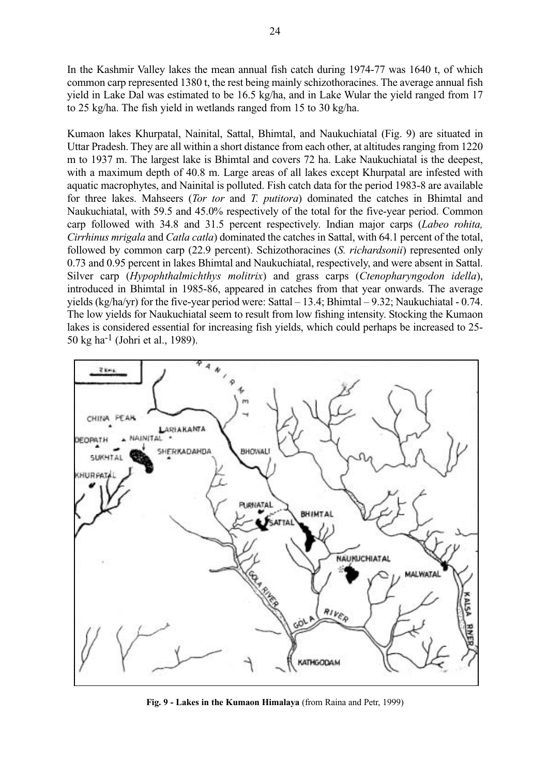In the Kashmir Valley lakes the mean annual fish catch during 1974-77 was 1640 t, of which common carp represented 1380 t, the rest being mainly schizothoracines. The average annual fish yield in Lake Dal was estimated to be 16.5 kg/ha, and in Lake Wular the yield ranged from 17 to 25 kg/ha. The fish yield in wetlands ranged from 15 to 30 kg/ha.

Kumaon lakes Khurpatal, Nainital, Sattal, Bhimtal, and Naukuchiatal (Fig. 9) are situated in Uttar Pradesh. They are all within a short distance from each other, at altitudes ranging from 1220 m to 1937 m. The largest lake is Bhimtal and covers 72 ha. Lake Naukuchiatal is the deepest, with a maximum depth of 40.8 m. Large areas of all lakes except Khurpatal are infested with aquatic macrophytes, and Nainital is polluted. Fish catch data for the period 1983-8 are available for three lakes. Mahseers (*Tor tor* and *T. putitora*) dominated the catches in Bhimtal and Naukuchiatal, with 59.5 and 45.0% respectively of the total for the five-year period. Common carp followed with 34.8 and 31.5 percent respectively. Indian major carps (*Labeo rohita, Cirrhinus mrigala* and *Catla catla*) dominated the catches in Sattal, with 64.1 percent of the total, followed by common carp (22.9 percent). Schizothoracines (*S. richardsonii*) represented only 0.73 and 0.95 percent in lakes Bhimtal and Naukuchiatal, respectively, and were absent in Sattal. Silver carp (*Hypophthalmichthys molitrix*) and grass carps (*Ctenopharyngodon idella*), introduced in Bhimtal in 1985-86, appeared in catches from that year onwards. The average yields (kg/ha/yr) for the five-year period were: Sattal – 13.4; Bhimtal – 9.32; Naukuchiatal - 0.74. The low yields for Naukuchiatal seem to result from low fishing intensity. Stocking the Kumaon lakes is considered essential for increasing fish yields, which could perhaps be increased to 25- 50 kg ha-1 (Johri et al., 1989).



**Fig. 9 - Lakes in the Kumaon Himalaya** (from Raina and Petr, 1999)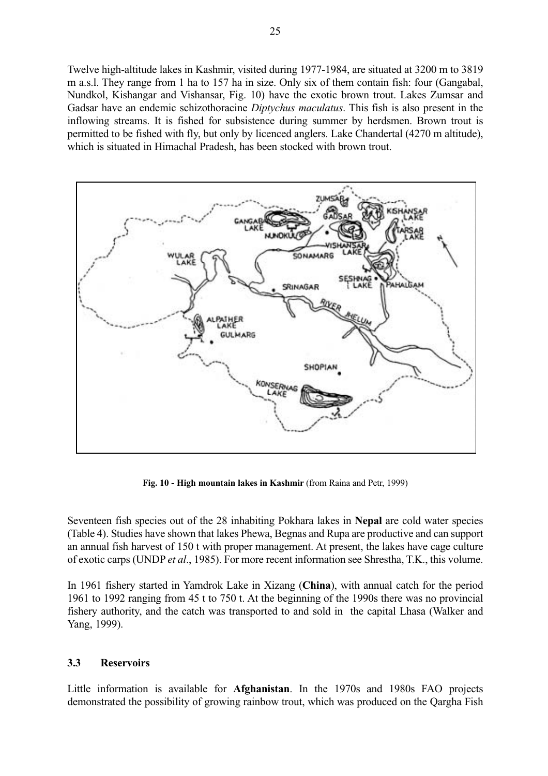Twelve high-altitude lakes in Kashmir, visited during 1977-1984, are situated at 3200 m to 3819 m a.s.l. They range from 1 ha to 157 ha in size. Only six of them contain fish: four (Gangabal, Nundkol, Kishangar and Vishansar, Fig. 10) have the exotic brown trout. Lakes Zumsar and Gadsar have an endemic schizothoracine *Diptychus maculatus*. This fish is also present in the inflowing streams. It is fished for subsistence during summer by herdsmen. Brown trout is permitted to be fished with fly, but only by licenced anglers. Lake Chandertal (4270 m altitude), which is situated in Himachal Pradesh, has been stocked with brown trout.



**Fig. 10 - High mountain lakes in Kashmir** (from Raina and Petr, 1999)

Seventeen fish species out of the 28 inhabiting Pokhara lakes in **Nepal** are cold water species (Table 4). Studies have shown that lakes Phewa, Begnas and Rupa are productive and can support an annual fish harvest of 150 t with proper management. At present, the lakes have cage culture of exotic carps (UNDP *et al*., 1985). For more recent information see Shrestha, T.K., this volume.

In 1961 fishery started in Yamdrok Lake in Xizang (**China**), with annual catch for the period 1961 to 1992 ranging from 45 t to 750 t. At the beginning of the 1990s there was no provincial fishery authority, and the catch was transported to and sold in the capital Lhasa (Walker and Yang, 1999).

#### **3.3 Reservoirs**

Little information is available for **Afghanistan**. In the 1970s and 1980s FAO projects demonstrated the possibility of growing rainbow trout, which was produced on the Qargha Fish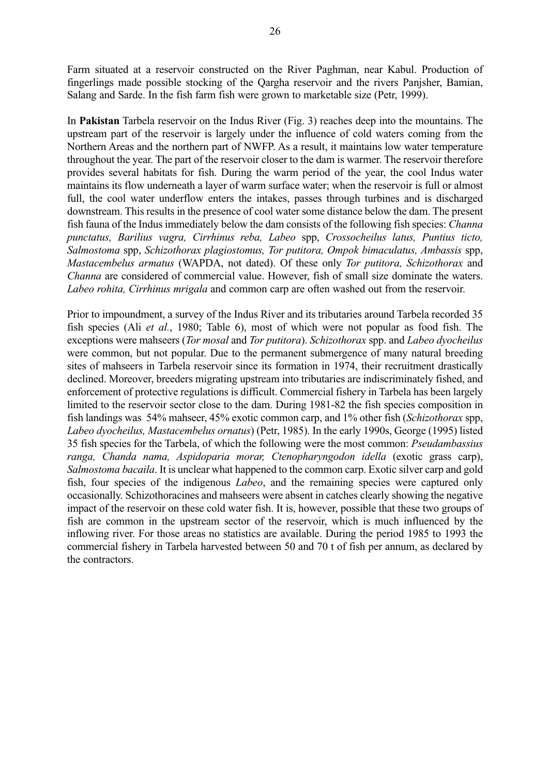Farm situated at a reservoir constructed on the River Paghman, near Kabul. Production of fingerlings made possible stocking of the Qargha reservoir and the rivers Panjsher, Bamian, Salang and Sarde. In the fish farm fish were grown to marketable size (Petr, 1999).

In **Pakistan** Tarbela reservoir on the Indus River (Fig. 3) reaches deep into the mountains. The upstream part of the reservoir is largely under the influence of cold waters coming from the Northern Areas and the northern part of NWFP. As a result, it maintains low water temperature throughout the year. The part of the reservoir closer to the dam is warmer. The reservoir therefore provides several habitats for fish. During the warm period of the year, the cool Indus water maintains its flow underneath a layer of warm surface water; when the reservoir is full or almost full, the cool water underflow enters the intakes, passes through turbines and is discharged downstream. This results in the presence of cool water some distance below the dam. The present fish fauna of the Indus immediately below the dam consists of the following fish species: *Channa punctatus, Barilius vagra, Cirrhinus reba, Labeo* spp, *Crossocheilus latus, Puntius ticto, Salmostoma* spp, *Schizothorax plagiostomus, Tor putitora, Ompok bimaculatus, Ambassis* spp, *Mastacembelus armatus* (WAPDA, not dated). Of these only *Tor putitora, Schizothorax* and *Channa* are considered of commercial value. However, fish of small size dominate the waters. *Labeo rohita, Cirrhinus mrigala* and common carp are often washed out from the reservoir.

Prior to impoundment, a survey of the Indus River and its tributaries around Tarbela recorded 35 fish species (Ali *et al.*, 1980; Table 6), most of which were not popular as food fish. The exceptions were mahseers (*Tor mosal* and *Tor putitora*). *Schizothorax* spp. and *Labeo dyocheilus* were common, but not popular. Due to the permanent submergence of many natural breeding sites of mahseers in Tarbela reservoir since its formation in 1974, their recruitment drastically declined. Moreover, breeders migrating upstream into tributaries are indiscriminately fished, and enforcement of protective regulations is difficult. Commercial fishery in Tarbela has been largely limited to the reservoir sector close to the dam. During 1981-82 the fish species composition in fish landings was 54% mahseer, 45% exotic common carp, and 1% other fish (*Schizothorax* spp, *Labeo dyocheilus, Mastacembelus ornatus*) (Petr, 1985). In the early 1990s, George (1995) listed 35 fish species for the Tarbela, of which the following were the most common: *Pseudambassius ranga, Chanda nama, Aspidoparia morar, Ctenopharyngodon idella* (exotic grass carp), *Salmostoma bacaila*. It is unclear what happened to the common carp. Exotic silver carp and gold fish, four species of the indigenous *Labeo*, and the remaining species were captured only occasionally. Schizothoracines and mahseers were absent in catches clearly showing the negative impact of the reservoir on these cold water fish. It is, however, possible that these two groups of fish are common in the upstream sector of the reservoir, which is much influenced by the inflowing river. For those areas no statistics are available. During the period 1985 to 1993 the commercial fishery in Tarbela harvested between 50 and 70 t of fish per annum, as declared by the contractors.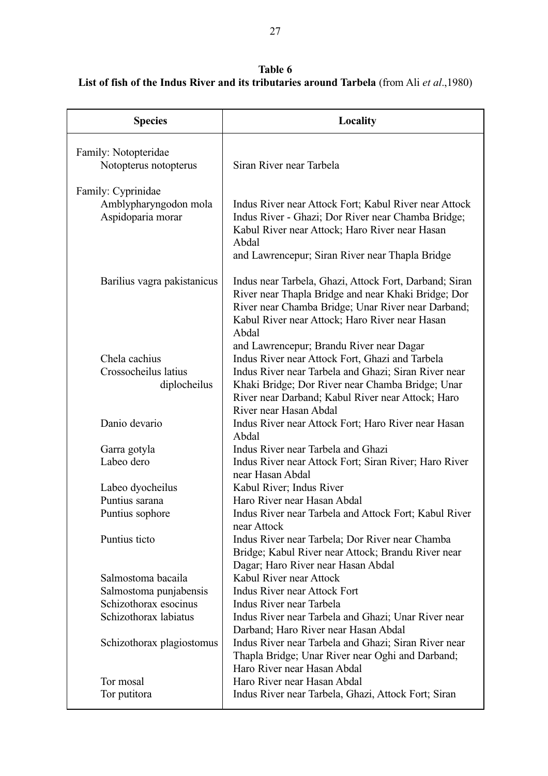**Table 6 List of fish of the Indus River and its tributaries around Tarbela** (from Ali *et al*.,1980)

| <b>Species</b>                                                   | Locality                                                                                                                                                                                                                                                                               |
|------------------------------------------------------------------|----------------------------------------------------------------------------------------------------------------------------------------------------------------------------------------------------------------------------------------------------------------------------------------|
| Family: Notopteridae<br>Notopterus notopterus                    | Siran River near Tarbela                                                                                                                                                                                                                                                               |
| Family: Cyprinidae<br>Amblypharyngodon mola<br>Aspidoparia morar | Indus River near Attock Fort; Kabul River near Attock<br>Indus River - Ghazi; Dor River near Chamba Bridge;<br>Kabul River near Attock; Haro River near Hasan<br>Abdal<br>and Lawrencepur; Siran River near Thapla Bridge                                                              |
| Barilius vagra pakistanicus                                      | Indus near Tarbela, Ghazi, Attock Fort, Darband; Siran<br>River near Thapla Bridge and near Khaki Bridge; Dor<br>River near Chamba Bridge; Unar River near Darband;<br>Kabul River near Attock; Haro River near Hasan<br>Abdal                                                         |
| Chela cachius<br>Crossocheilus latius<br>diplocheilus            | and Lawrencepur; Brandu River near Dagar<br>Indus River near Attock Fort, Ghazi and Tarbela<br>Indus River near Tarbela and Ghazi; Siran River near<br>Khaki Bridge; Dor River near Chamba Bridge; Unar<br>River near Darband; Kabul River near Attock; Haro<br>River near Hasan Abdal |
| Danio devario                                                    | Indus River near Attock Fort; Haro River near Hasan<br>Abdal                                                                                                                                                                                                                           |
| Garra gotyla                                                     | Indus River near Tarbela and Ghazi                                                                                                                                                                                                                                                     |
| Labeo dero                                                       | Indus River near Attock Fort; Siran River; Haro River<br>near Hasan Abdal                                                                                                                                                                                                              |
| Labeo dyocheilus                                                 | Kabul River; Indus River                                                                                                                                                                                                                                                               |
| Puntius sarana                                                   | Haro River near Hasan Abdal                                                                                                                                                                                                                                                            |
| Puntius sophore                                                  | Indus River near Tarbela and Attock Fort; Kabul River<br>near Attock                                                                                                                                                                                                                   |
| Puntius ticto                                                    | Indus River near Tarbela; Dor River near Chamba<br>Bridge; Kabul River near Attock; Brandu River near<br>Dagar; Haro River near Hasan Abdal                                                                                                                                            |
| Salmostoma bacaila                                               | Kabul River near Attock                                                                                                                                                                                                                                                                |
| Salmostoma punjabensis                                           | <b>Indus River near Attock Fort</b>                                                                                                                                                                                                                                                    |
| Schizothorax esocinus                                            | Indus River near Tarbela                                                                                                                                                                                                                                                               |
| Schizothorax labiatus                                            | Indus River near Tarbela and Ghazi; Unar River near<br>Darband; Haro River near Hasan Abdal                                                                                                                                                                                            |
| Schizothorax plagiostomus                                        | Indus River near Tarbela and Ghazi; Siran River near<br>Thapla Bridge; Unar River near Oghi and Darband;<br>Haro River near Hasan Abdal                                                                                                                                                |
| Tor mosal                                                        | Haro River near Hasan Abdal                                                                                                                                                                                                                                                            |
| Tor putitora                                                     | Indus River near Tarbela, Ghazi, Attock Fort; Siran                                                                                                                                                                                                                                    |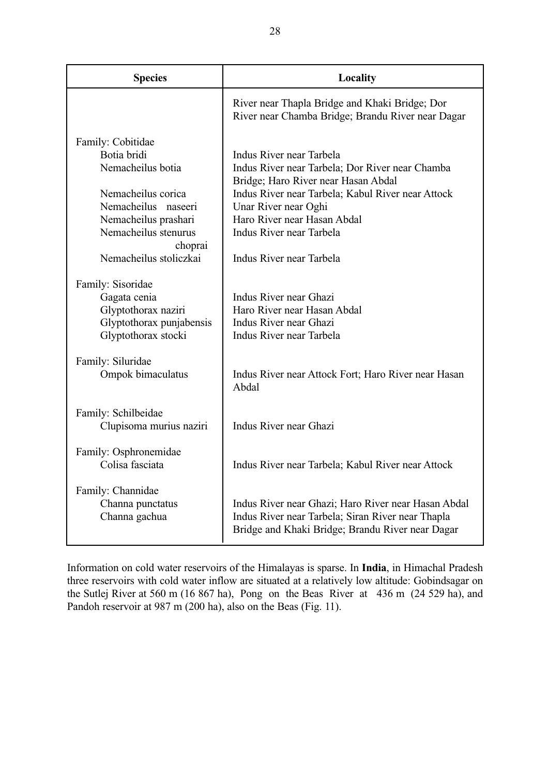| <b>Species</b>                                                                                                                                                                          | Locality                                                                                                                                                                                                                                                                               |
|-----------------------------------------------------------------------------------------------------------------------------------------------------------------------------------------|----------------------------------------------------------------------------------------------------------------------------------------------------------------------------------------------------------------------------------------------------------------------------------------|
|                                                                                                                                                                                         | River near Thapla Bridge and Khaki Bridge; Dor<br>River near Chamba Bridge; Brandu River near Dagar                                                                                                                                                                                    |
| Family: Cobitidae<br>Botia bridi<br>Nemacheilus botia<br>Nemacheilus corica<br>Nemacheilus naseeri<br>Nemacheilus prashari<br>Nemacheilus stenurus<br>choprai<br>Nemacheilus stoliczkai | Indus River near Tarbela<br>Indus River near Tarbela; Dor River near Chamba<br>Bridge; Haro River near Hasan Abdal<br>Indus River near Tarbela; Kabul River near Attock<br>Unar River near Oghi<br>Haro River near Hasan Abdal<br>Indus River near Tarbela<br>Indus River near Tarbela |
| Family: Sisoridae<br>Gagata cenia<br>Glyptothorax naziri<br>Glyptothorax punjabensis<br>Glyptothorax stocki                                                                             | Indus River near Ghazi<br>Haro River near Hasan Abdal<br>Indus River near Ghazi<br>Indus River near Tarbela                                                                                                                                                                            |
| Family: Siluridae<br>Ompok bimaculatus                                                                                                                                                  | Indus River near Attock Fort; Haro River near Hasan<br>Abdal                                                                                                                                                                                                                           |
| Family: Schilbeidae<br>Clupisoma murius naziri                                                                                                                                          | Indus River near Ghazi                                                                                                                                                                                                                                                                 |
| Family: Osphronemidae<br>Colisa fasciata                                                                                                                                                | Indus River near Tarbela; Kabul River near Attock                                                                                                                                                                                                                                      |
| Family: Channidae<br>Channa punctatus<br>Channa gachua                                                                                                                                  | Indus River near Ghazi; Haro River near Hasan Abdal<br>Indus River near Tarbela; Siran River near Thapla<br>Bridge and Khaki Bridge; Brandu River near Dagar                                                                                                                           |

Information on cold water reservoirs of the Himalayas is sparse. In **India**, in Himachal Pradesh three reservoirs with cold water inflow are situated at a relatively low altitude: Gobindsagar on the Sutlej River at 560 m (16 867 ha), Pong on the Beas River at 436 m (24 529 ha), and Pandoh reservoir at 987 m (200 ha), also on the Beas (Fig. 11).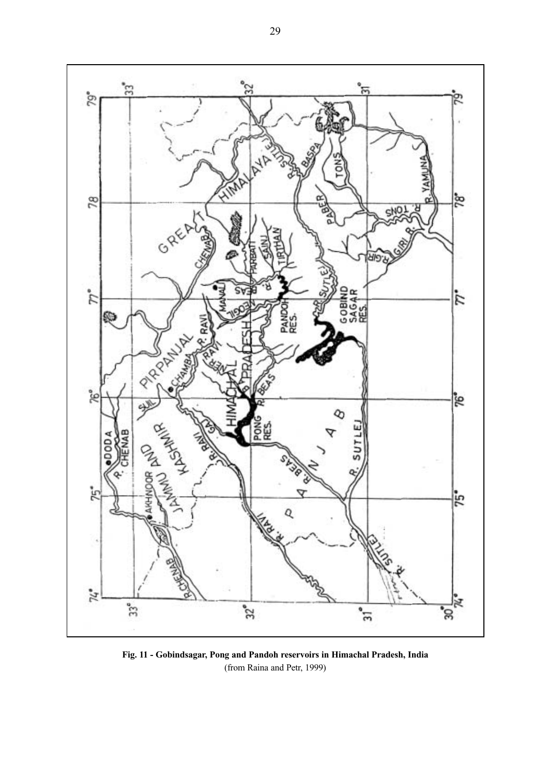

**Fig. 11 - Gobindsagar, Pong and Pandoh reservoirs in Himachal Pradesh, India** (from Raina and Petr, 1999)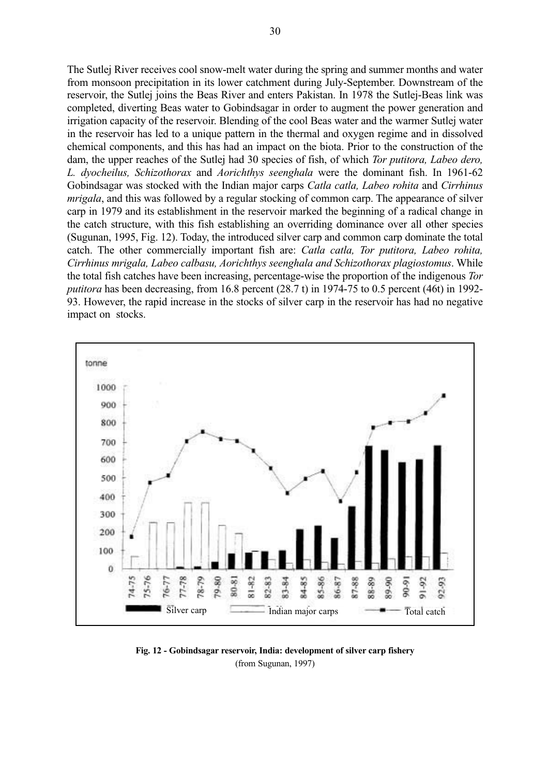The Sutlej River receives cool snow-melt water during the spring and summer months and water from monsoon precipitation in its lower catchment during July-September. Downstream of the reservoir, the Sutlej joins the Beas River and enters Pakistan. In 1978 the Sutlej-Beas link was completed, diverting Beas water to Gobindsagar in order to augment the power generation and irrigation capacity of the reservoir. Blending of the cool Beas water and the warmer Sutlej water in the reservoir has led to a unique pattern in the thermal and oxygen regime and in dissolved chemical components, and this has had an impact on the biota. Prior to the construction of the dam, the upper reaches of the Sutlej had 30 species of fish, of which *Tor putitora, Labeo dero, L. dyocheilus, Schizothorax* and *Aorichthys seenghala* were the dominant fish. In 1961-62 Gobindsagar was stocked with the Indian major carps *Catla catla, Labeo rohita* and *Cirrhinus mrigala*, and this was followed by a regular stocking of common carp. The appearance of silver carp in 1979 and its establishment in the reservoir marked the beginning of a radical change in the catch structure, with this fish establishing an overriding dominance over all other species (Sugunan, 1995, Fig. 12). Today, the introduced silver carp and common carp dominate the total catch. The other commercially important fish are: *Catla catla, Tor putitora, Labeo rohita, Cirrhinus mrigala, Labeo calbasu, Aorichthys seenghala and Schizothorax plagiostomus*. While the total fish catches have been increasing, percentage-wise the proportion of the indigenous *Tor putitora* has been decreasing, from 16.8 percent (28.7 t) in 1974-75 to 0.5 percent (46t) in 1992- 93. However, the rapid increase in the stocks of silver carp in the reservoir has had no negative impact on stocks.



**Fig. 12 - Gobindsagar reservoir, India: development of silver carp fishery** (from Sugunan, 1997)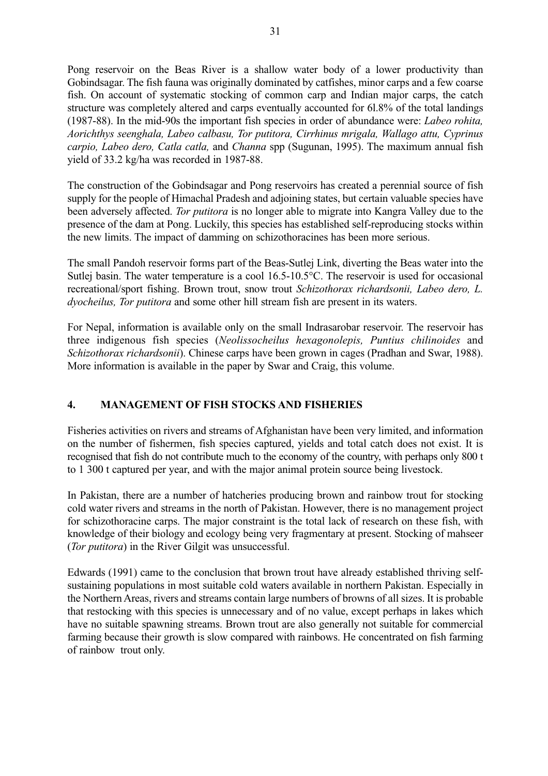Pong reservoir on the Beas River is a shallow water body of a lower productivity than Gobindsagar. The fish fauna was originally dominated by catfishes, minor carps and a few coarse fish. On account of systematic stocking of common carp and Indian major carps, the catch structure was completely altered and carps eventually accounted for 6l.8% of the total landings (1987-88). In the mid-90s the important fish species in order of abundance were: *Labeo rohita, Aorichthys seenghala, Labeo calbasu, Tor putitora, Cirrhinus mrigala, Wallago attu, Cyprinus carpio, Labeo dero, Catla catla,* and *Channa* spp (Sugunan, 1995). The maximum annual fish yield of 33.2 kg/ha was recorded in 1987-88.

The construction of the Gobindsagar and Pong reservoirs has created a perennial source of fish supply for the people of Himachal Pradesh and adjoining states, but certain valuable species have been adversely affected. *Tor putitora* is no longer able to migrate into Kangra Valley due to the presence of the dam at Pong. Luckily, this species has established self-reproducing stocks within the new limits. The impact of damming on schizothoracines has been more serious.

The small Pandoh reservoir forms part of the Beas-Sutlej Link, diverting the Beas water into the Sutlej basin. The water temperature is a cool 16.5-10.5°C. The reservoir is used for occasional recreational/sport fishing. Brown trout, snow trout *Schizothorax richardsonii, Labeo dero, L. dyocheilus, Tor putitora* and some other hill stream fish are present in its waters.

For Nepal, information is available only on the small Indrasarobar reservoir. The reservoir has three indigenous fish species (*Neolissocheilus hexagonolepis, Puntius chilinoides* and *Schizothorax richardsonii*). Chinese carps have been grown in cages (Pradhan and Swar, 1988). More information is available in the paper by Swar and Craig, this volume.

## **4. MANAGEMENT OF FISH STOCKS AND FISHERIES**

Fisheries activities on rivers and streams of Afghanistan have been very limited, and information on the number of fishermen, fish species captured, yields and total catch does not exist. It is recognised that fish do not contribute much to the economy of the country, with perhaps only 800 t to 1 300 t captured per year, and with the major animal protein source being livestock.

In Pakistan, there are a number of hatcheries producing brown and rainbow trout for stocking cold water rivers and streams in the north of Pakistan. However, there is no management project for schizothoracine carps. The major constraint is the total lack of research on these fish, with knowledge of their biology and ecology being very fragmentary at present. Stocking of mahseer (*Tor putitora*) in the River Gilgit was unsuccessful.

Edwards (1991) came to the conclusion that brown trout have already established thriving selfsustaining populations in most suitable cold waters available in northern Pakistan. Especially in the Northern Areas, rivers and streams contain large numbers of browns of all sizes. It is probable that restocking with this species is unnecessary and of no value, except perhaps in lakes which have no suitable spawning streams. Brown trout are also generally not suitable for commercial farming because their growth is slow compared with rainbows. He concentrated on fish farming of rainbow trout only.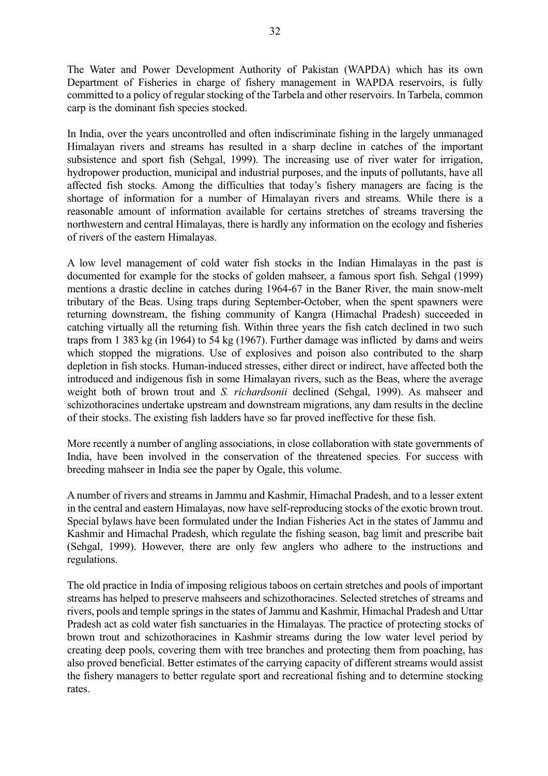The Water and Power Development Authority of Pakistan (WAPDA) which has its own Department of Fisheries in charge of fishery management in WAPDA reservoirs, is fully committed to a policy of regular stocking of the Tarbela and other reservoirs. In Tarbela, common carp is the dominant fish species stocked.

In India, over the years uncontrolled and often indiscriminate fishing in the largely unmanaged Himalayan rivers and streams has resulted in a sharp decline in catches of the important subsistence and sport fish (Sehgal, 1999). The increasing use of river water for irrigation, hydropower production, municipal and industrial purposes, and the inputs of pollutants, have all affected fish stocks. Among the difficulties that today's fishery managers are facing is the shortage of information for a number of Himalayan rivers and streams. While there is a reasonable amount of information available for certains stretches of streams traversing the northwestern and central Himalayas, there is hardly any information on the ecology and fisheries of rivers of the eastern Himalayas.

A low level management of cold water fish stocks in the Indian Himalayas in the past is documented for example for the stocks of golden mahseer, a famous sport fish. Sehgal (1999) mentions a drastic decline in catches during 1964-67 in the Baner River, the main snow-melt tributary of the Beas. Using traps during September-October, when the spent spawners were returning downstream, the fishing community of Kangra (Himachal Pradesh) succeeded in catching virtually all the returning fish. Within three years the fish catch declined in two such traps from 1 383 kg (in 1964) to 54 kg (1967). Further damage was inflicted by dams and weirs which stopped the migrations. Use of explosives and poison also contributed to the sharp depletion in fish stocks. Human-induced stresses, either direct or indirect, have affected both the introduced and indigenous fish in some Himalayan rivers, such as the Beas, where the average weight both of brown trout and *S. richardsonii* declined (Sehgal, 1999). As mahseer and schizothoracines undertake upstream and downstream migrations, any dam results in the decline of their stocks. The existing fish ladders have so far proved ineffective for these fish.

More recently a number of angling associations, in close collaboration with state governments of India, have been involved in the conservation of the threatened species. For success with breeding mahseer in India see the paper by Ogale, this volume.

A number of rivers and streams in Jammu and Kashmir, Himachal Pradesh, and to a lesser extent in the central and eastern Himalayas, now have self-reproducing stocks of the exotic brown trout. Special bylaws have been formulated under the Indian Fisheries Act in the states of Jammu and Kashmir and Himachal Pradesh, which regulate the fishing season, bag limit and prescribe bait (Sehgal, 1999). However, there are only few anglers who adhere to the instructions and regulations.

The old practice in India of imposing religious taboos on certain stretches and pools of important streams has helped to preserve mahseers and schizothoracines. Selected stretches of streams and rivers, pools and temple springs in the states of Jammu and Kashmir, Himachal Pradesh and Uttar Pradesh act as cold water fish sanctuaries in the Himalayas. The practice of protecting stocks of brown trout and schizothoracines in Kashmir streams during the low water level period by creating deep pools, covering them with tree branches and protecting them from poaching, has also proved beneficial. Better estimates of the carrying capacity of different streams would assist the fishery managers to better regulate sport and recreational fishing and to determine stocking rates.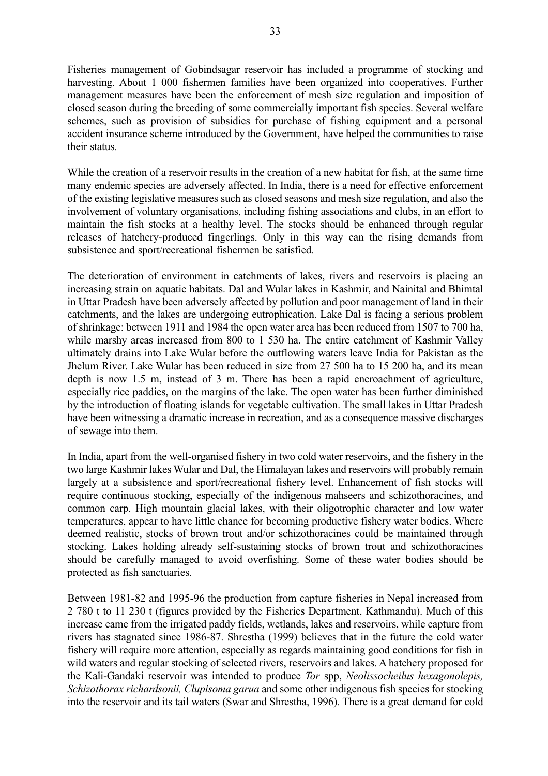Fisheries management of Gobindsagar reservoir has included a programme of stocking and harvesting. About 1 000 fishermen families have been organized into cooperatives. Further management measures have been the enforcement of mesh size regulation and imposition of closed season during the breeding of some commercially important fish species. Several welfare schemes, such as provision of subsidies for purchase of fishing equipment and a personal accident insurance scheme introduced by the Government, have helped the communities to raise their status.

While the creation of a reservoir results in the creation of a new habitat for fish, at the same time many endemic species are adversely affected. In India, there is a need for effective enforcement of the existing legislative measures such as closed seasons and mesh size regulation, and also the involvement of voluntary organisations, including fishing associations and clubs, in an effort to maintain the fish stocks at a healthy level. The stocks should be enhanced through regular releases of hatchery-produced fingerlings. Only in this way can the rising demands from subsistence and sport/recreational fishermen be satisfied.

The deterioration of environment in catchments of lakes, rivers and reservoirs is placing an increasing strain on aquatic habitats. Dal and Wular lakes in Kashmir, and Nainital and Bhimtal in Uttar Pradesh have been adversely affected by pollution and poor management of land in their catchments, and the lakes are undergoing eutrophication. Lake Dal is facing a serious problem of shrinkage: between 1911 and 1984 the open water area has been reduced from 1507 to 700 ha, while marshy areas increased from 800 to 1 530 ha. The entire catchment of Kashmir Valley ultimately drains into Lake Wular before the outflowing waters leave India for Pakistan as the Jhelum River. Lake Wular has been reduced in size from 27 500 ha to 15 200 ha, and its mean depth is now 1.5 m, instead of 3 m. There has been a rapid encroachment of agriculture, especially rice paddies, on the margins of the lake. The open water has been further diminished by the introduction of floating islands for vegetable cultivation. The small lakes in Uttar Pradesh have been witnessing a dramatic increase in recreation, and as a consequence massive discharges of sewage into them.

In India, apart from the well-organised fishery in two cold water reservoirs, and the fishery in the two large Kashmir lakes Wular and Dal, the Himalayan lakes and reservoirs will probably remain largely at a subsistence and sport/recreational fishery level. Enhancement of fish stocks will require continuous stocking, especially of the indigenous mahseers and schizothoracines, and common carp. High mountain glacial lakes, with their oligotrophic character and low water temperatures, appear to have little chance for becoming productive fishery water bodies. Where deemed realistic, stocks of brown trout and/or schizothoracines could be maintained through stocking. Lakes holding already self-sustaining stocks of brown trout and schizothoracines should be carefully managed to avoid overfishing. Some of these water bodies should be protected as fish sanctuaries.

Between 1981-82 and 1995-96 the production from capture fisheries in Nepal increased from 2 780 t to 11 230 t (figures provided by the Fisheries Department, Kathmandu). Much of this increase came from the irrigated paddy fields, wetlands, lakes and reservoirs, while capture from rivers has stagnated since 1986-87. Shrestha (1999) believes that in the future the cold water fishery will require more attention, especially as regards maintaining good conditions for fish in wild waters and regular stocking of selected rivers, reservoirs and lakes. A hatchery proposed for the Kali-Gandaki reservoir was intended to produce *Tor* spp, *Neolissocheilus hexagonolepis, Schizothorax richardsonii, Clupisoma garua* and some other indigenous fish species for stocking into the reservoir and its tail waters (Swar and Shrestha, 1996). There is a great demand for cold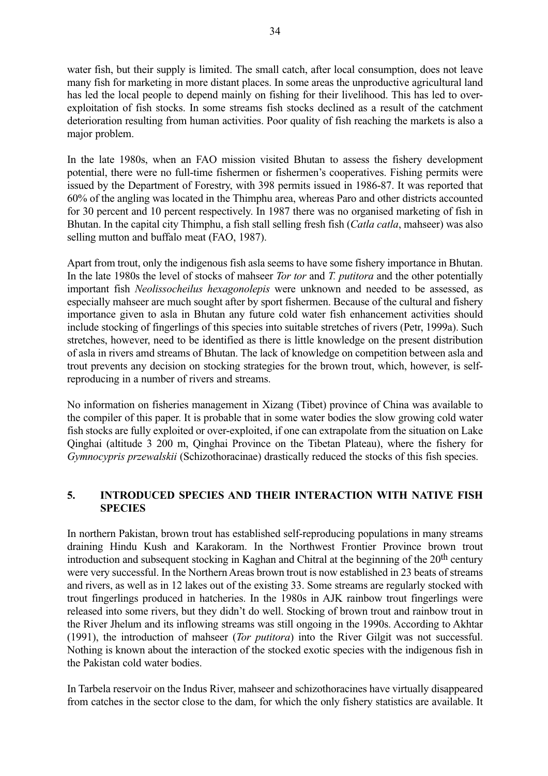water fish, but their supply is limited. The small catch, after local consumption, does not leave many fish for marketing in more distant places. In some areas the unproductive agricultural land has led the local people to depend mainly on fishing for their livelihood. This has led to overexploitation of fish stocks. In some streams fish stocks declined as a result of the catchment deterioration resulting from human activities. Poor quality of fish reaching the markets is also a major problem.

In the late 1980s, when an FAO mission visited Bhutan to assess the fishery development potential, there were no full-time fishermen or fishermen's cooperatives. Fishing permits were issued by the Department of Forestry, with 398 permits issued in 1986-87. It was reported that 60% of the angling was located in the Thimphu area, whereas Paro and other districts accounted for 30 percent and 10 percent respectively. In 1987 there was no organised marketing of fish in Bhutan. In the capital city Thimphu, a fish stall selling fresh fish (*Catla catla*, mahseer) was also selling mutton and buffalo meat (FAO, 1987).

Apart from trout, only the indigenous fish asla seems to have some fishery importance in Bhutan. In the late 1980s the level of stocks of mahseer *Tor tor* and *T. putitora* and the other potentially important fish *Neolissocheilus hexagonolepis* were unknown and needed to be assessed, as especially mahseer are much sought after by sport fishermen. Because of the cultural and fishery importance given to asla in Bhutan any future cold water fish enhancement activities should include stocking of fingerlings of this species into suitable stretches of rivers (Petr, 1999a). Such stretches, however, need to be identified as there is little knowledge on the present distribution of asla in rivers amd streams of Bhutan. The lack of knowledge on competition between asla and trout prevents any decision on stocking strategies for the brown trout, which, however, is selfreproducing in a number of rivers and streams.

No information on fisheries management in Xizang (Tibet) province of China was available to the compiler of this paper. It is probable that in some water bodies the slow growing cold water fish stocks are fully exploited or over-exploited, if one can extrapolate from the situation on Lake Qinghai (altitude 3 200 m, Qinghai Province on the Tibetan Plateau), where the fishery for *Gymnocypris przewalskii* (Schizothoracinae) drastically reduced the stocks of this fish species.

# **5. INTRODUCED SPECIES AND THEIR INTERACTION WITH NATIVE FISH SPECIES**

In northern Pakistan, brown trout has established self-reproducing populations in many streams draining Hindu Kush and Karakoram. In the Northwest Frontier Province brown trout introduction and subsequent stocking in Kaghan and Chitral at the beginning of the 20<sup>th</sup> century were very successful. In the Northern Areas brown trout is now established in 23 beats of streams and rivers, as well as in 12 lakes out of the existing 33. Some streams are regularly stocked with trout fingerlings produced in hatcheries. In the 1980s in AJK rainbow trout fingerlings were released into some rivers, but they didn't do well. Stocking of brown trout and rainbow trout in the River Jhelum and its inflowing streams was still ongoing in the 1990s. According to Akhtar (1991), the introduction of mahseer (*Tor putitora*) into the River Gilgit was not successful. Nothing is known about the interaction of the stocked exotic species with the indigenous fish in the Pakistan cold water bodies.

In Tarbela reservoir on the Indus River, mahseer and schizothoracines have virtually disappeared from catches in the sector close to the dam, for which the only fishery statistics are available. It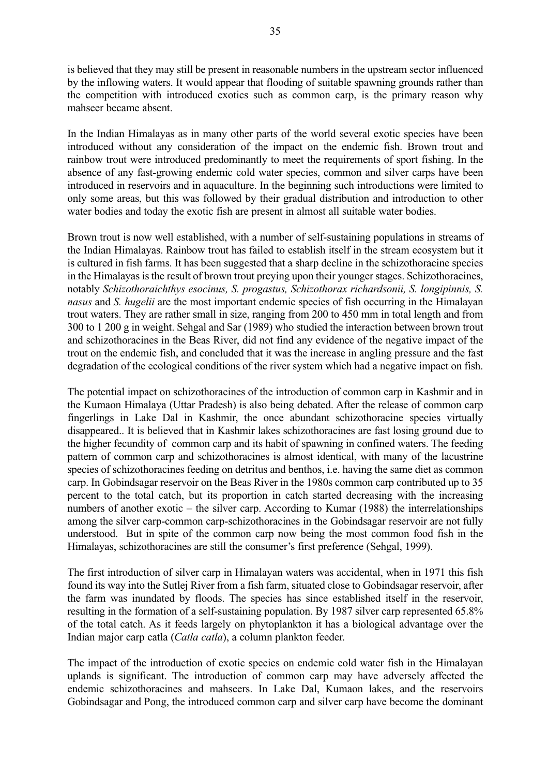is believed that they may still be present in reasonable numbers in the upstream sector influenced by the inflowing waters. It would appear that flooding of suitable spawning grounds rather than the competition with introduced exotics such as common carp, is the primary reason why mahseer became absent.

In the Indian Himalayas as in many other parts of the world several exotic species have been introduced without any consideration of the impact on the endemic fish. Brown trout and rainbow trout were introduced predominantly to meet the requirements of sport fishing. In the absence of any fast-growing endemic cold water species, common and silver carps have been introduced in reservoirs and in aquaculture. In the beginning such introductions were limited to only some areas, but this was followed by their gradual distribution and introduction to other water bodies and today the exotic fish are present in almost all suitable water bodies.

Brown trout is now well established, with a number of self-sustaining populations in streams of the Indian Himalayas. Rainbow trout has failed to establish itself in the stream ecosystem but it is cultured in fish farms. It has been suggested that a sharp decline in the schizothoracine species in the Himalayas is the result of brown trout preying upon their younger stages. Schizothoracines, notably *Schizothoraichthys esocinus, S. progastus, Schizothorax richardsonii, S. longipinnis, S. nasus* and *S. hugelii* are the most important endemic species of fish occurring in the Himalayan trout waters. They are rather small in size, ranging from 200 to 450 mm in total length and from 300 to 1 200 g in weight. Sehgal and Sar (1989) who studied the interaction between brown trout and schizothoracines in the Beas River, did not find any evidence of the negative impact of the trout on the endemic fish, and concluded that it was the increase in angling pressure and the fast degradation of the ecological conditions of the river system which had a negative impact on fish.

The potential impact on schizothoracines of the introduction of common carp in Kashmir and in the Kumaon Himalaya (Uttar Pradesh) is also being debated. After the release of common carp fingerlings in Lake Dal in Kashmir, the once abundant schizothoracine species virtually disappeared.. It is believed that in Kashmir lakes schizothoracines are fast losing ground due to the higher fecundity of common carp and its habit of spawning in confined waters. The feeding pattern of common carp and schizothoracines is almost identical, with many of the lacustrine species of schizothoracines feeding on detritus and benthos, i.e. having the same diet as common carp. In Gobindsagar reservoir on the Beas River in the 1980s common carp contributed up to 35 percent to the total catch, but its proportion in catch started decreasing with the increasing numbers of another exotic – the silver carp. According to Kumar (1988) the interrelationships among the silver carp-common carp-schizothoracines in the Gobindsagar reservoir are not fully understood. But in spite of the common carp now being the most common food fish in the Himalayas, schizothoracines are still the consumer's first preference (Sehgal, 1999).

The first introduction of silver carp in Himalayan waters was accidental, when in 1971 this fish found its way into the Sutlej River from a fish farm, situated close to Gobindsagar reservoir, after the farm was inundated by floods. The species has since established itself in the reservoir, resulting in the formation of a self-sustaining population. By 1987 silver carp represented 65.8% of the total catch. As it feeds largely on phytoplankton it has a biological advantage over the Indian major carp catla (*Catla catla*), a column plankton feeder.

The impact of the introduction of exotic species on endemic cold water fish in the Himalayan uplands is significant. The introduction of common carp may have adversely affected the endemic schizothoracines and mahseers. In Lake Dal, Kumaon lakes, and the reservoirs Gobindsagar and Pong, the introduced common carp and silver carp have become the dominant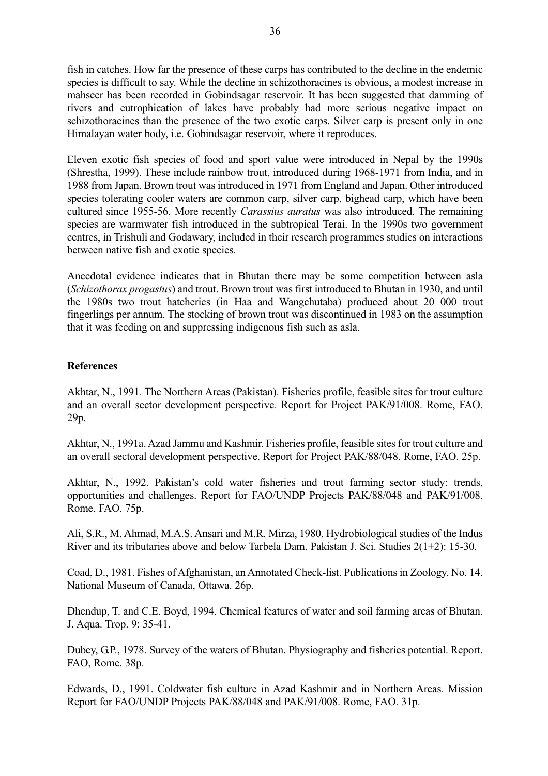fish in catches. How far the presence of these carps has contributed to the decline in the endemic species is difficult to say. While the decline in schizothoracines is obvious, a modest increase in mahseer has been recorded in Gobindsagar reservoir. It has been suggested that damming of rivers and eutrophication of lakes have probably had more serious negative impact on schizothoracines than the presence of the two exotic carps. Silver carp is present only in one Himalayan water body, i.e. Gobindsagar reservoir, where it reproduces.

Eleven exotic fish species of food and sport value were introduced in Nepal by the 1990s (Shrestha, 1999). These include rainbow trout, introduced during 1968-1971 from India, and in 1988 from Japan. Brown trout was introduced in 1971 from England and Japan. Other introduced species tolerating cooler waters are common carp, silver carp, bighead carp, which have been cultured since 1955-56. More recently *Carassius auratus* was also introduced. The remaining species are warmwater fish introduced in the subtropical Terai. In the 1990s two government centres, in Trishuli and Godawary, included in their research programmes studies on interactions between native fish and exotic species.

Anecdotal evidence indicates that in Bhutan there may be some competition between asla (*Schizothorax progastus*) and trout. Brown trout was first introduced to Bhutan in 1930, and until the 1980s two trout hatcheries (in Haa and Wangchutaba) produced about 20 000 trout fingerlings per annum. The stocking of brown trout was discontinued in 1983 on the assumption that it was feeding on and suppressing indigenous fish such as asla.

#### **References**

Akhtar, N., 1991. The Northern Areas (Pakistan). Fisheries profile, feasible sites for trout culture and an overall sector development perspective. Report for Project PAK/91/008. Rome, FAO. 29p.

Akhtar, N., 1991a. Azad Jammu and Kashmir. Fisheries profile, feasible sites for trout culture and an overall sectoral development perspective. Report for Project PAK/88/048. Rome, FAO. 25p.

Akhtar, N., 1992. Pakistan's cold water fisheries and trout farming sector study: trends, opportunities and challenges. Report for FAO/UNDP Projects PAK/88/048 and PAK/91/008. Rome, FAO. 75p.

Ali, S.R., M. Ahmad, M.A.S. Ansari and M.R. Mirza, 1980. Hydrobiological studies of the Indus River and its tributaries above and below Tarbela Dam. Pakistan J. Sci. Studies 2(1+2): 15-30.

Coad, D., 1981. Fishes of Afghanistan, an Annotated Check-list. Publications in Zoology, No. 14. National Museum of Canada, Ottawa. 26p.

Dhendup, T. and C.E. Boyd, 1994. Chemical features of water and soil farming areas of Bhutan. J. Aqua. Trop. 9: 35-41.

Dubey, G.P., 1978. Survey of the waters of Bhutan. Physiography and fisheries potential. Report. FAO, Rome. 38p.

Edwards, D., 1991. Coldwater fish culture in Azad Kashmir and in Northern Areas. Mission Report for FAO/UNDP Projects PAK/88/048 and PAK/91/008. Rome, FAO. 31p.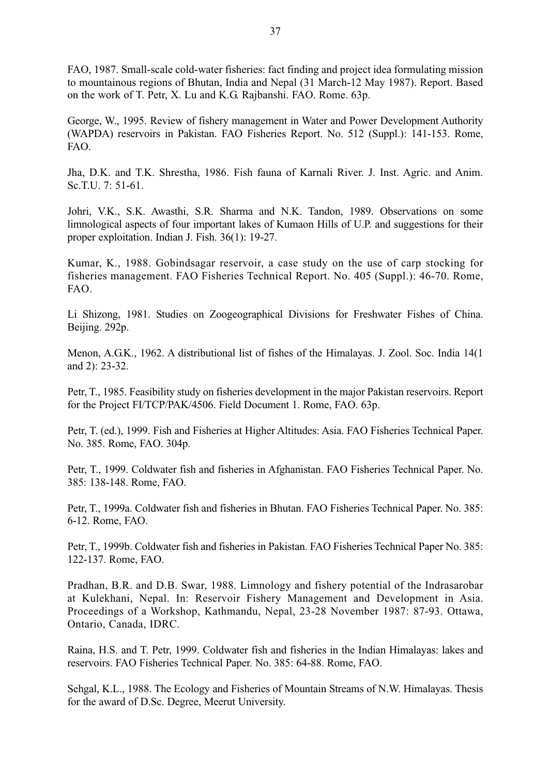FAO, 1987. Small-scale cold-water fisheries: fact finding and project idea formulating mission to mountainous regions of Bhutan, India and Nepal (31 March-12 May 1987). Report. Based on the work of T. Petr, X. Lu and K.G. Rajbanshi. FAO. Rome. 63p.

George, W., 1995. Review of fishery management in Water and Power Development Authority (WAPDA) reservoirs in Pakistan. FAO Fisheries Report. No. 512 (Suppl.): 141-153. Rome, FAO.

Jha, D.K. and T.K. Shrestha, 1986. Fish fauna of Karnali River. J. Inst. Agric. and Anim. Sc.T.U. 7: 51-61.

Johri, V.K., S.K. Awasthi, S.R. Sharma and N.K. Tandon, 1989. Observations on some limnological aspects of four important lakes of Kumaon Hills of U.P. and suggestions for their proper exploitation. Indian J. Fish. 36(1): 19-27.

Kumar, K., 1988. Gobindsagar reservoir, a case study on the use of carp stocking for fisheries management. FAO Fisheries Technical Report. No. 405 (Suppl.): 46-70. Rome, FAO.

Li Shizong, 1981. Studies on Zoogeographical Divisions for Freshwater Fishes of China. Beijing. 292p.

Menon, A.G.K., 1962. A distributional list of fishes of the Himalayas. J. Zool. Soc. India 14(1 and 2): 23-32.

Petr, T., 1985. Feasibility study on fisheries development in the major Pakistan reservoirs. Report for the Project FI/TCP/PAK/4506. Field Document 1. Rome, FAO. 63p.

Petr, T. (ed.), 1999. Fish and Fisheries at Higher Altitudes: Asia. FAO Fisheries Technical Paper. No. 385. Rome, FAO. 304p.

Petr, T., 1999. Coldwater fish and fisheries in Afghanistan. FAO Fisheries Technical Paper. No. 385: 138-148. Rome, FAO.

Petr, T., 1999a. Coldwater fish and fisheries in Bhutan. FAO Fisheries Technical Paper. No. 385: 6-12. Rome, FAO.

Petr, T., 1999b. Coldwater fish and fisheries in Pakistan. FAO Fisheries Technical Paper No. 385: 122-137. Rome, FAO.

Pradhan, B.R. and D.B. Swar, 1988. Limnology and fishery potential of the Indrasarobar at Kulekhani, Nepal. In: Reservoir Fishery Management and Development in Asia. Proceedings of a Workshop, Kathmandu, Nepal, 23-28 November 1987: 87-93. Ottawa, Ontario, Canada, IDRC.

Raina, H.S. and T. Petr, 1999. Coldwater fish and fisheries in the Indian Himalayas: lakes and reservoirs. FAO Fisheries Technical Paper. No. 385: 64-88. Rome, FAO.

Sehgal, K.L., 1988. The Ecology and Fisheries of Mountain Streams of N.W. Himalayas. Thesis for the award of D.Sc. Degree, Meerut University.